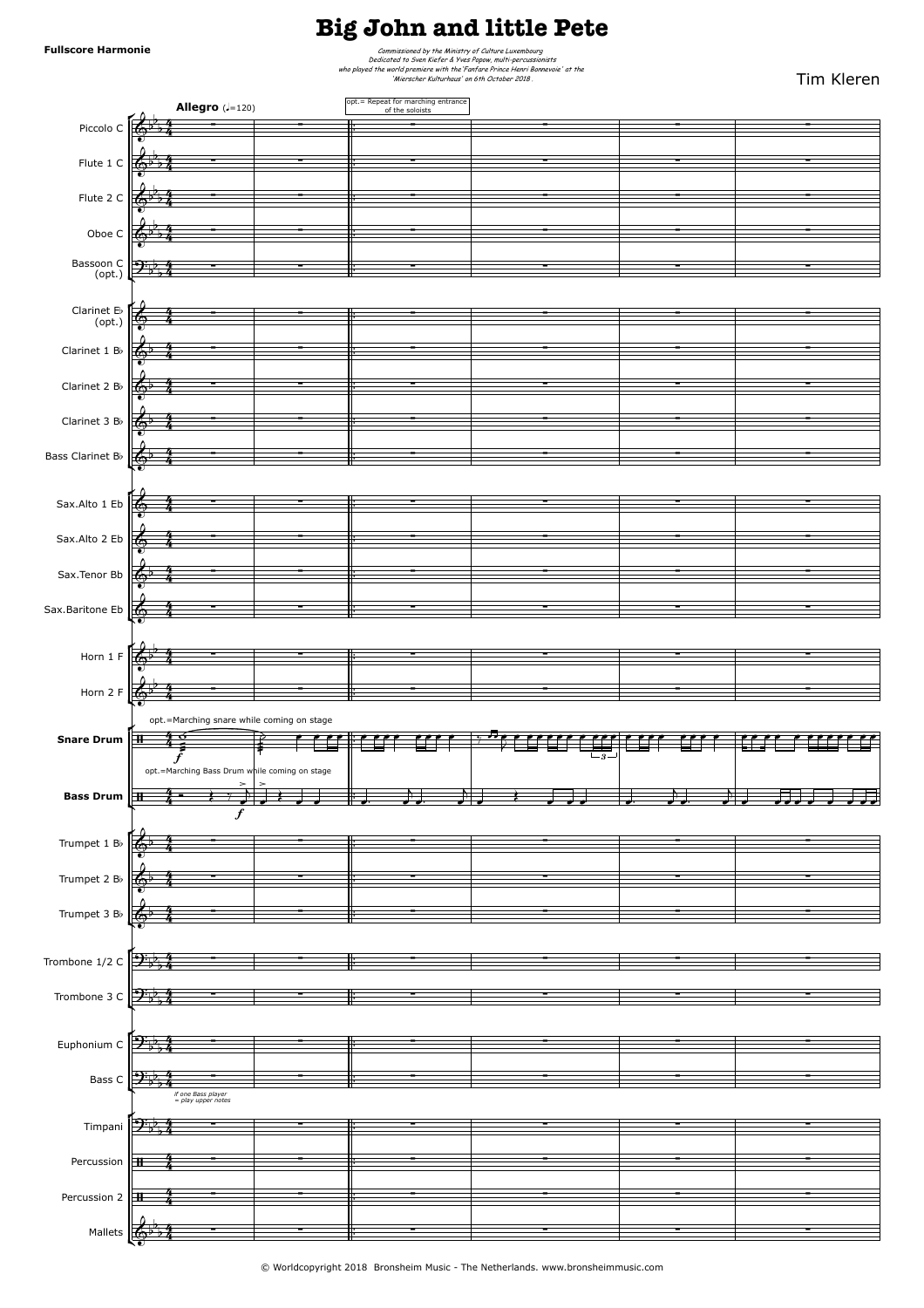**Fullscore Harmonie**

Commissioned by the Ministry of Culture Luxembourg<br>Dedicated to Sven Kiefer & Yves Popow, multi-percussionists<br>who played the world premiere with the fanfare Prince Henri Bonnevoie' at the<br>Mierscher Kulturhaus' on 6th Octo

 $\sqrt{24}$  $c\left[\frac{9\frac{1}{2}+1}{2\frac{1}{2}+1}\right]$  $\sqrt{24}$ 3 C  $\frac{1}{2}$   $\frac{4}{2}$  $\mathbf{r}_{\ell}$  $\left[\begin{smallmatrix}\n\bullet & 1 & \cdots & 1 \\
\bullet & \bullet & 1 & \cdots & 1 \\
\bullet & \bullet & \bullet & \bullet & \cdots & 1\n\end{smallmatrix}\right]$  $\frac{1}{2}$  $\sqrt{6}$  4  $\frac{1}{2}$  $\left[\begin{smallmatrix}\n\Theta^p & 1\n\end{smallmatrix}\right]$ Allegro  $(J=120)$  $\mathcal{F}_{\mathcal{F}_{\mathcal{P}}}$  $\sqrt{24}$ Mallets  $\left(\bigoplus_{i=1}^{n} \frac{1}{2} \right)$ ° opt.=Marching snare while coming on stage  $\begin{array}{ccc} \begin{array}{ccc} \text{H} & \text{I} & \text{-} \end{array} \end{array}$  $\left( \rho_{\rm b} \right)$  $\varphi$   $\frac{1}{4}$ ™ ™ ™ ™ ™ ™ ™ ™ ™ ™ ™ ™ ™ ™ ™ ™ ™ ™ ™ ™ ™ ™ ™ ™ ™ ™ ™ ™ ™ ™ ™ ™ ™ ™ ™ ™ ™ ™ ™ ™ ™ ™ ™ ™ ™ ™ ™ ™ ™ ™ ™ ™ ™ ™ ™ ™ ™ ™ Piccolo C  $\left[\begin{array}{c} \left(\begin{array}{c} \bullet & \bullet \\ \bullet & \bullet \end{array}\right)$ Flute 1 C  $\sqrt{3^2 \cdot 4}$ Flute 2 C  $\mathbf{Z}$ Oboe<sub>C</sub>  $c\sqrt{2}$ Bassoon C  $\epsilon$  lo:  $\epsilon$  4 (opt.)Clarinet Eb  $\mathbf{E}$ (opt.)Clarinet 1 Bb  $\left[\begin{array}{ccc} \overline{6} & \overline{4} \\ \overline{6} & \overline{2} \end{array}\right]$ Clarinet 2 Bb  $\sqrt{45}$ Clarinet 3 Bb  $\sqrt{45+1}$ Bass Clarinet Bb Sax.Alto 1 Eb  $\frac{1}{2}$ Sax.Alto 2 Eb  $\frac{1}{2}$ Sax.Tenor Bb  $\sqrt{2}$ Sax.Baritone Eb  $\frac{1}{2}$ Horn 1 F  $\frac{1}{2}$ Horn 2 F  $\mathbb{Z}$   $\rightarrow$  4 **Snare Drum Bass Drum** Trumpet 1 Bb  $\left[\begin{array}{ccc} \overline{6} & \overline{2} \\ \overline{6} & \overline{2} \end{array}\right]$ Trumpet 2 Bb  $\sqrt{45}$ Trumpet 3 Bb  $\left[\begin{array}{ccc} \overline{6} & \overline{2} \\ \overline{6} & \overline{2} \end{array}\right]$ Trombone 1/2 C  $\sqrt{2\cdot 2}$ Trombone 3 C Euphonium $\epsilon$   $\Theta$   $\phi$   $\theta$ Bass C Timpani $2\frac{1}{2}$   $\frac{4}{4}$ PercussionPercussion 2  $\bf \mathbf{\overline{H}}$ f  $\overline{f}$  $\boldsymbol{f}$  $4 \frac{4}{4}$  $4 \frac{4}{4}$ 4  $\frac{4}{4}$   $\frac{1}{2}$  $4 \frac{4}{4}$  $4 \frac{4}{4}$ 4  $\frac{4}{4}$   $\frac{4}{4}$  $4 \cdot$  $\frac{4}{4}$ 4  $\frac{4}{4}$   $\frac{1}{2}$  $4 \qquad \frac{4}{4}$   $\frac{4}{4}$   $\frac{4}{4}$  $4 \frac{4}{4}$ 4  $\frac{4}{4}$   $\frac{1}{2}$  $4 \frac{4}{4}$  $4 \frac{4}{4}$ 4  $\frac{4}{4}$  $4 \frac{4}{4}$ 4  $\frac{4}{4}$   $\frac{1}{2}$  $46$  $4\frac{6}{5}$  $\frac{4}{4}$   $\rightarrow$   $\rightarrow$   $\rightarrow$   $\rightarrow$   $\rightarrow$  $4 \qquad \frac{4}{4}$ 4  $\frac{4}{4}$   $\frac{4}{4}$  $4 \frac{4}{4}$  $4 \frac{4}{4}$ 4  $\frac{4}{4}$   $\frac{4}{4}$  $4 \frac{4}{4}$  $4 -$ 4 b *one Bass player <sup>=</sup>* $4 \frac{4}{4}$   $\frac{4}{4}$  $4 \frac{4}{4}$ 4  $\frac{4}{4}$   $\frac{4}{4}$  $4 \qquad \frac{4}{4}$   $\frac{4}{4}$   $\frac{4}{4}$  $\overline{b_1}$  4 **Big**  $John$  and little Pete<br>
Commissioned by the Ministry of Culture Luxembourg<br>
Condicated to Sven Kiefer & Yves Popuw, multi-percussionists<br>
who played the world gremiere with the Fanfare Prince Henri Bonnevoie' at the<br> Tim Kleren opt.= Repeat for marching entrance of the soloists  $6^{3}4$  $\overline{b_1}$  4  $\overline{a_2}$  $\frac{1}{2}$   $\frac{1}{2}$   $\frac{1}{2}$   $\frac{1}{2}$   $\frac{1}{2}$   $\frac{1}{2}$   $\frac{1}{2}$   $\frac{1}{2}$   $\frac{1}{2}$   $\frac{1}{2}$   $\frac{1}{2}$   $\frac{1}{2}$   $\frac{1}{2}$   $\frac{1}{2}$   $\frac{1}{2}$   $\frac{1}{2}$   $\frac{1}{2}$   $\frac{1}{2}$   $\frac{1}{2}$   $\frac{1}{2}$   $\frac{1}{2}$   $\frac{1}{2}$   $6^{3}4$  $\overline{b_1}$  4  $\overline{a_2}$ b ∑ ∑ ∑ ∑ ∑ ∑  $6^{3}4$  $\overline{b_1}$  4  $\frac{1}{2}$   $\frac{1}{2}$   $\frac{1}{2}$   $\frac{1}{2}$   $\frac{1}{2}$   $\frac{1}{2}$   $\frac{1}{2}$   $\frac{1}{2}$   $\frac{1}{2}$   $\frac{1}{2}$   $\frac{1}{2}$   $\frac{1}{2}$   $\frac{1}{2}$   $\frac{1}{2}$   $\frac{1}{2}$   $\frac{1}{2}$   $\frac{1}{2}$   $\frac{1}{2}$   $\frac{1}{2}$   $\frac{1}{2}$   $\frac{1}{2}$   $\frac{1}{2}$   $9\frac{1}{5}$   $\frac{4}{4}$  $\frac{1}{2}$ b ∑ ∑ ∑ ∑ ∑ ∑ & ∑ ∑ ∑ ∑ ∑ ∑ &b ∑ ∑ ∑ ∑ ∑ ∑ &b ∑ ∑ ∑ ∑ ∑ ∑ &b ∑ ∑ ∑ ∑ ∑ ∑ &b ∑ ∑ ∑ ∑ ∑ ∑ & ∑ ∑ ∑ ∑ ∑ ∑ & ∑ ∑ ∑ ∑ ∑ ∑ &b ∑ ∑ ∑ ∑ ∑ ∑ & ∑ ∑ ∑ ∑ ∑ ∑  $\phi$ <sup>b</sup>  $\frac{1}{4}$ b ∑ ∑ ∑ ∑ ∑ ∑  $6^{3}4$ b ∑ ∑ ∑ ∑ ∑ ∑  $\frac{46}{4}$  $3$   $\vert$  $\frac{4}{4}$   $\frac{1}{2}$ opt.=Marching Bass Drum v ile coming on stage  $\left\lfloor \frac{1}{2} \right\rfloor$ &b ∑ ∑ ∑ ∑ ∑ ∑ &b ∑ ∑ ∑ ∑ ∑ ∑ &b ∑ ∑ ∑ ∑ ∑ ∑  $\mathcal{P}$  $\overline{b_1}$   $\overline{b_2}$ b ∑ ∑ ∑ ∑ ∑ ∑  $\mathfrak{b}_1$   $\mathfrak{b}_2$ b ∑ ∑ ∑ ∑ ∑ ∑  $2\frac{1}{2}$  )  $\frac{1}{2}$  $\frac{1}{2}$   $\frac{1}{2}$   $\frac{1}{2}$   $\frac{1}{2}$   $\frac{1}{2}$   $\frac{1}{2}$   $\frac{1}{2}$   $\frac{1}{2}$   $\frac{1}{2}$   $\frac{1}{2}$   $\frac{1}{2}$   $\frac{1}{2}$   $\frac{1}{2}$   $\frac{1}{2}$   $\frac{1}{2}$   $\frac{1}{2}$   $\frac{1}{2}$   $\frac{1}{2}$   $\frac{1}{2}$   $\frac{1}{2}$   $\frac{1}{2}$   $\frac{1}{2}$  *if***p**<br>play upper pates<br>note winner notes  $\frac{4}{6}$ b ∑ ∑ ∑ ∑ ∑ ∑  $\frac{4}{4}$   $\frac{4}{4}$ ∑ ∑ ∑ ∑ ∑ ∑  $\frac{4}{4}$  – – ∑ ∑ ∑ ∑ ∑ ∑  $\overline{\mathbf{b}}_1$  4  $\frac{1}{2}$   $\frac{1}{4}$   $\frac{1}{2}$   $\frac{1}{2}$   $\frac{1}{2}$   $\frac{1}{2}$   $\frac{1}{2}$   $\frac{1}{2}$   $\frac{1}{2}$   $\frac{1}{2}$   $\frac{1}{2}$   $\frac{1}{2}$   $\frac{1}{2}$   $\frac{1}{2}$   $\frac{1}{2}$   $\frac{1}{2}$   $\frac{1}{2}$   $\frac{1}{2}$   $\frac{1}{2}$   $\frac{1}{2}$   $\frac{1}{2}$   $\frac{1}{2}$  æ<sup>w</sup> ≩ וכם|כםו ברי צ<sup>6</sup>יכם כם <sup>J</sup> <sup>œ</sup> <sup>œ</sup> <sup>œ</sup> <sup>œ</sup> <sup>œ</sup> <sup>œ</sup> <sup>œ</sup> <sup>œ</sup> <sup>œ</sup> <sup>œ</sup> <sup>œ</sup> <sup>œ</sup> <sup>œ</sup> <sup>œ</sup> <sup>œ</sup> <sup>œ</sup> <sup>œ</sup> <sup>œ</sup> <sup>œ</sup> <sup>œ</sup> <sup>œ</sup> <sup>œ</sup> <sup>œ</sup> <sup>œ</sup> <sup>œ</sup> <sup>œ</sup> <sup>œ</sup> <sup>œ</sup> <sup>œ</sup> <sup>œ</sup> Œ œ œ œ™ œ  $j$   $j$   $j$  $j \rightarrow j$ Œ œ œ œ œ™ œ ), pl JJJJJJJ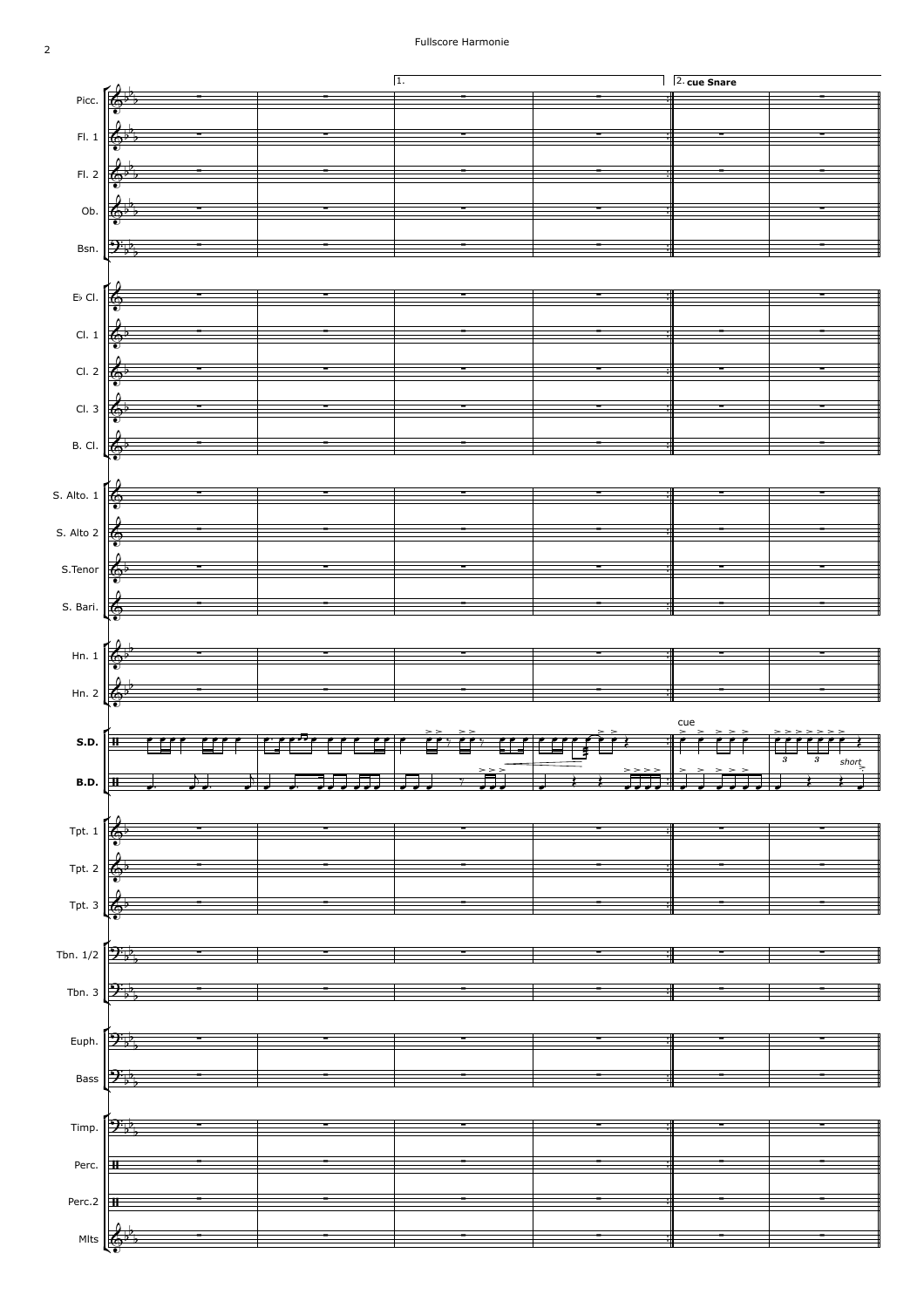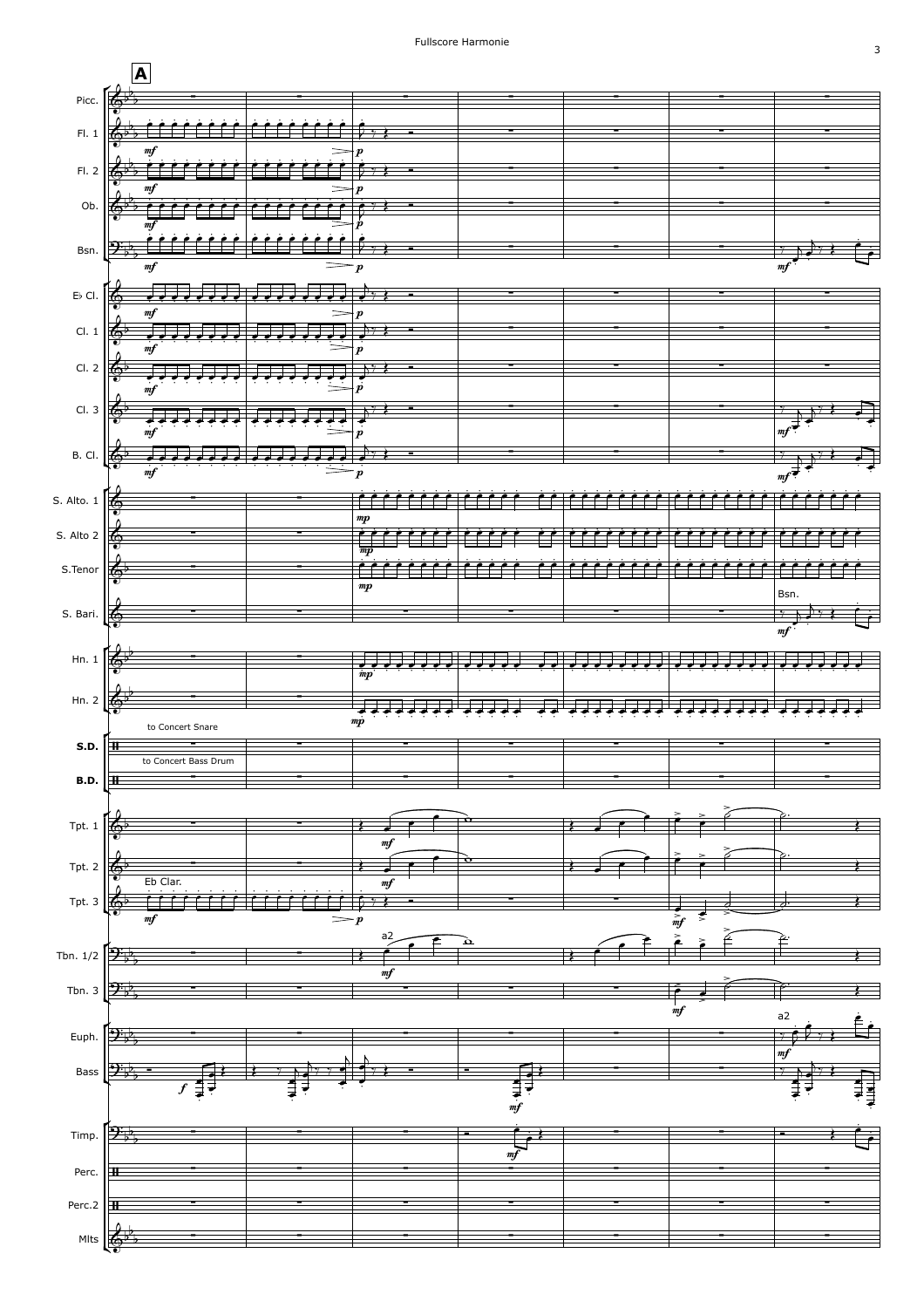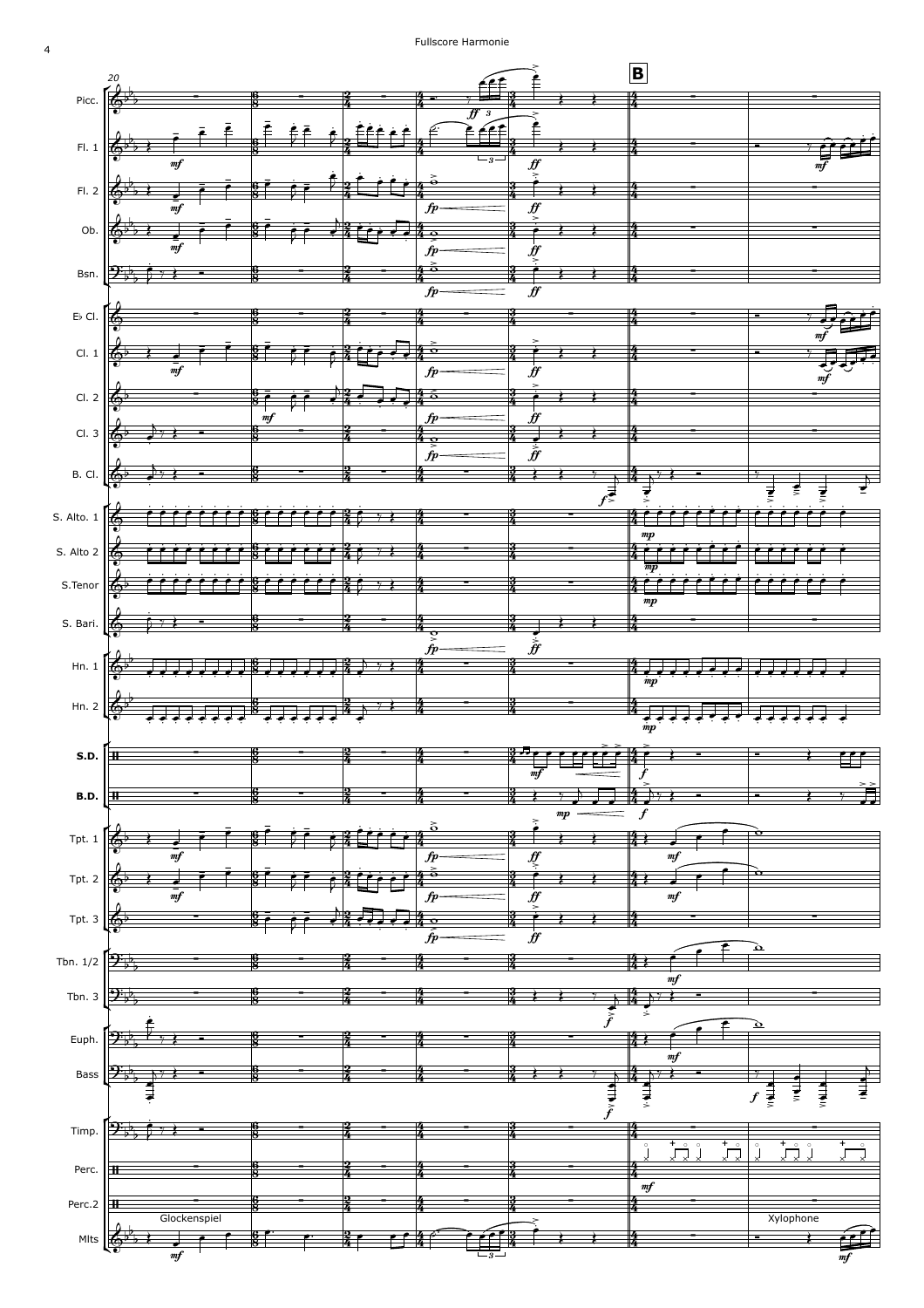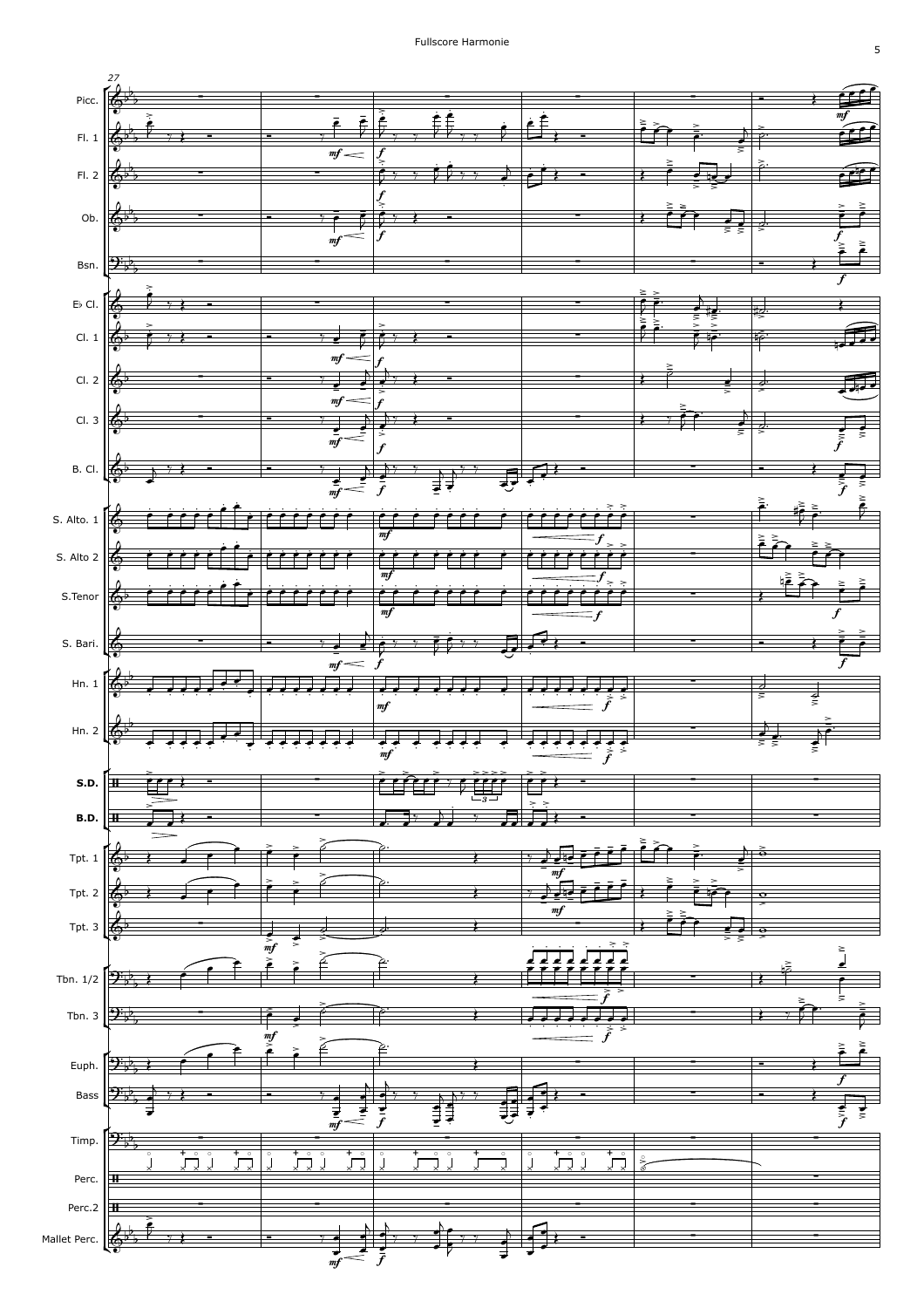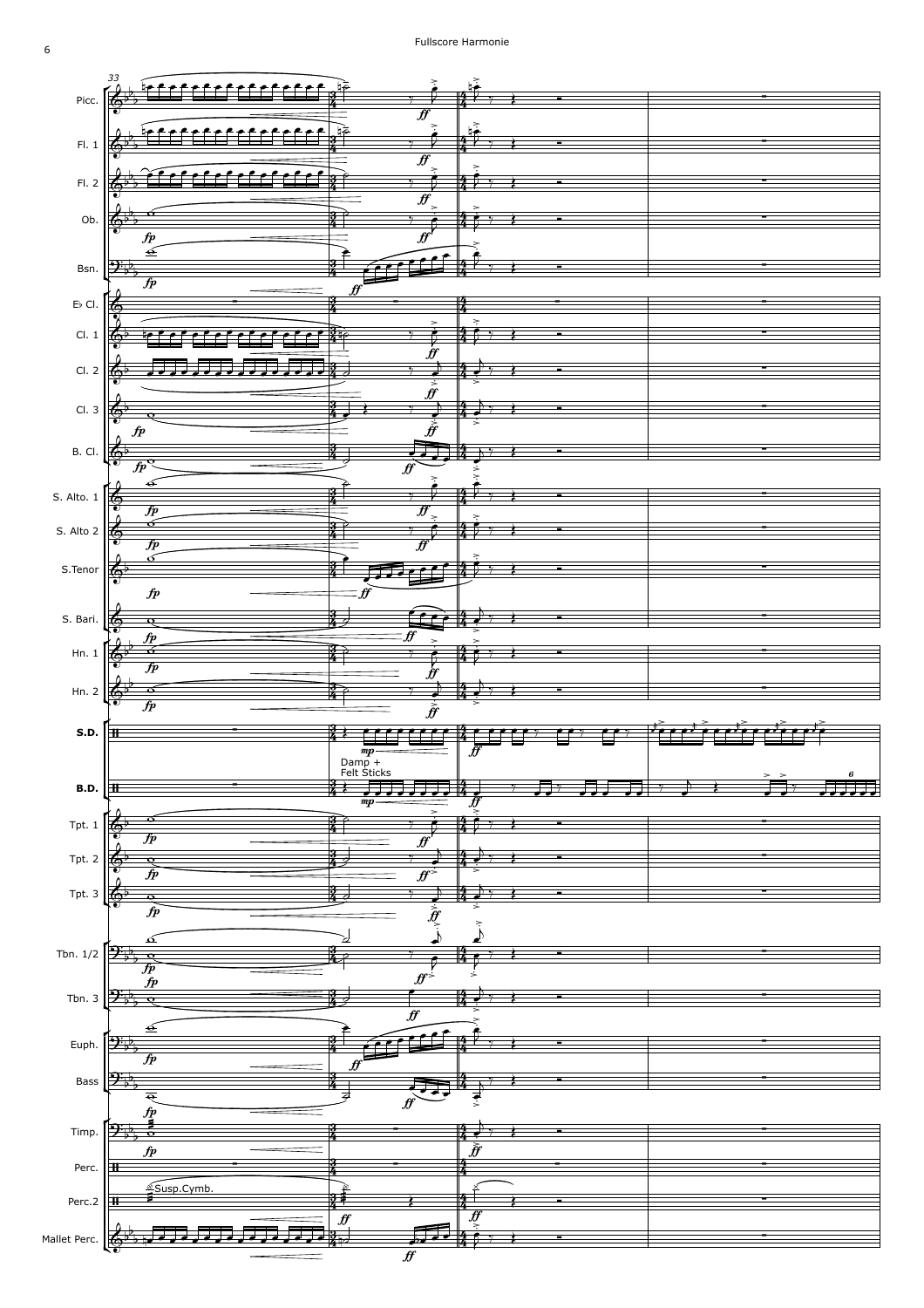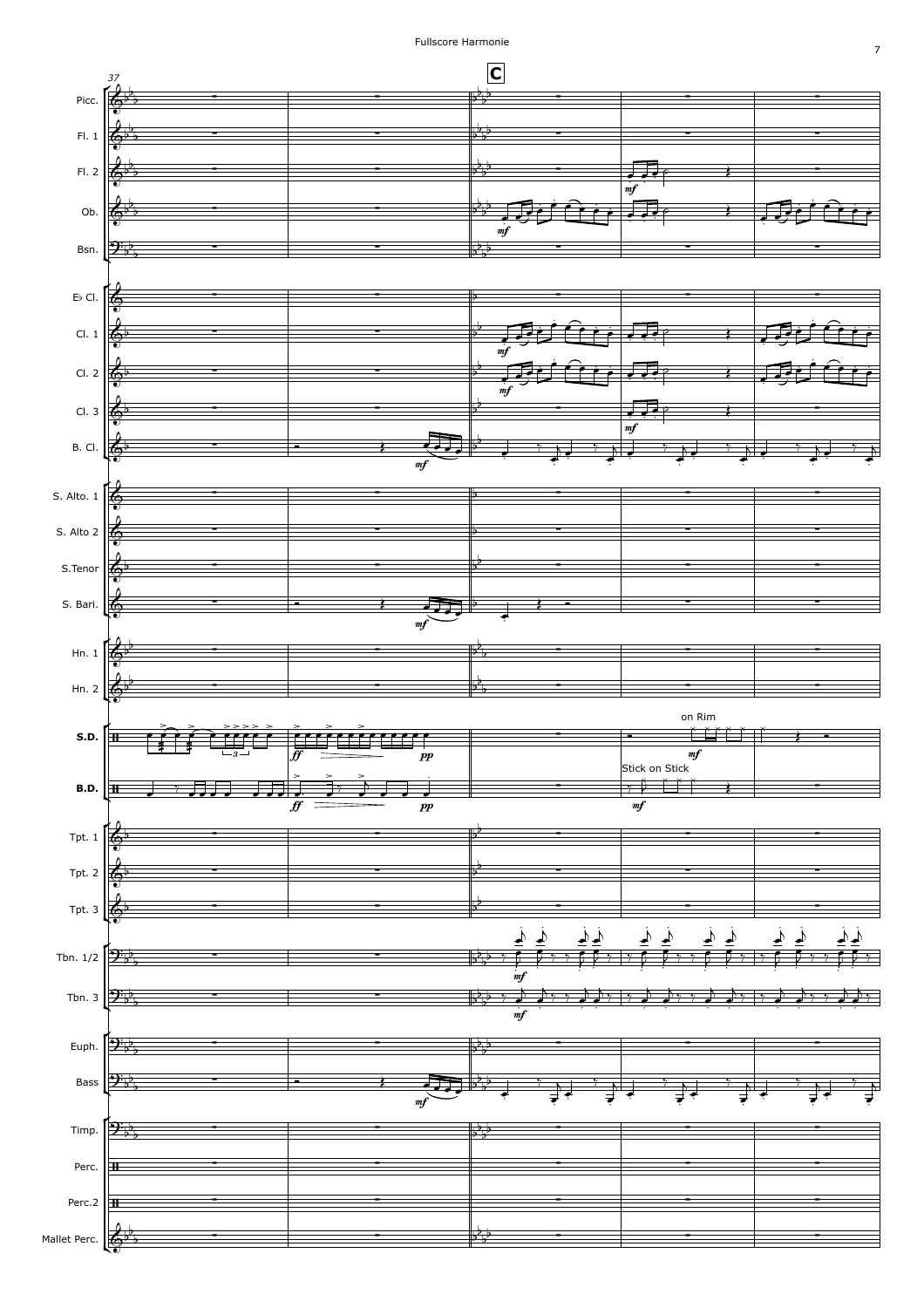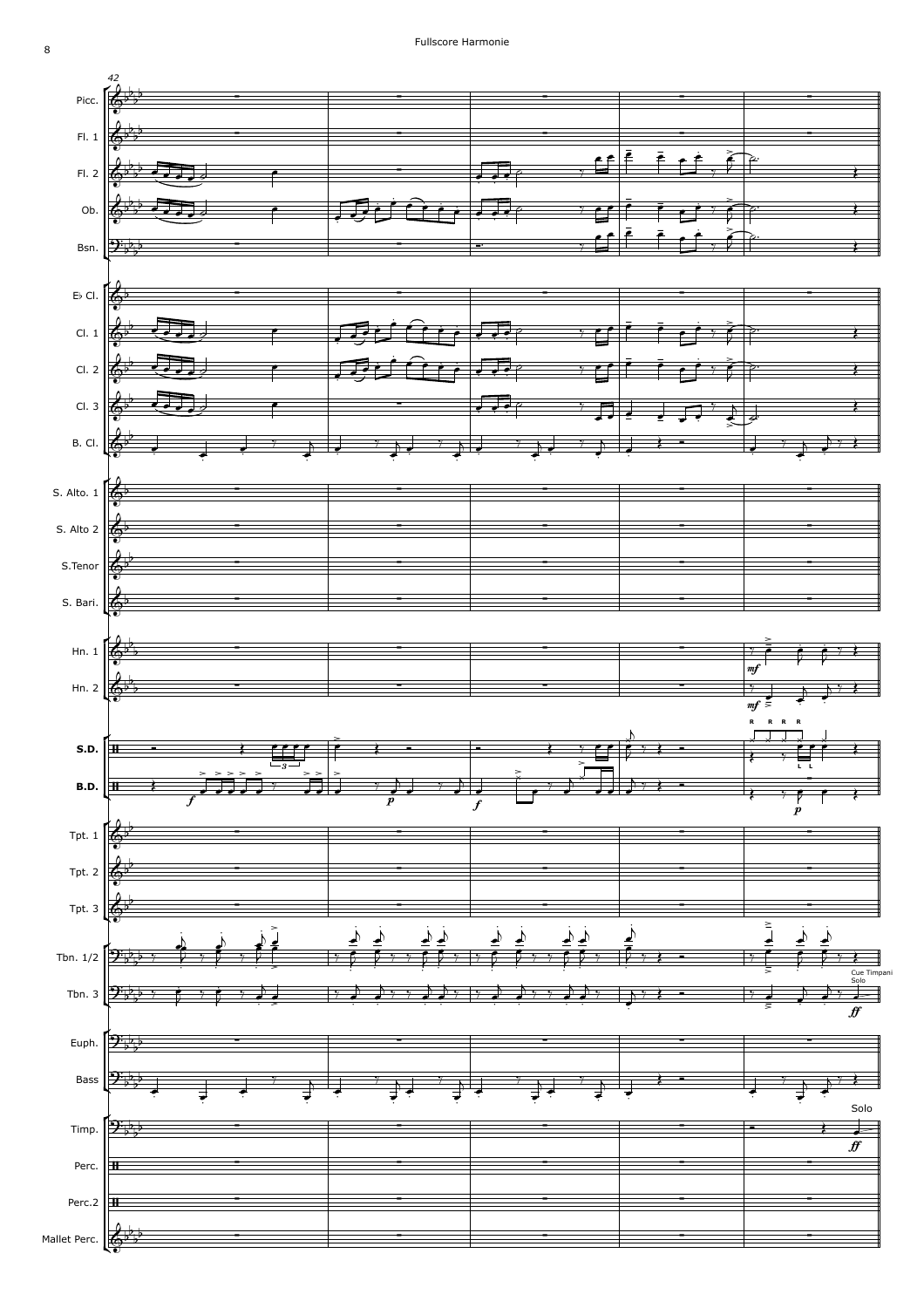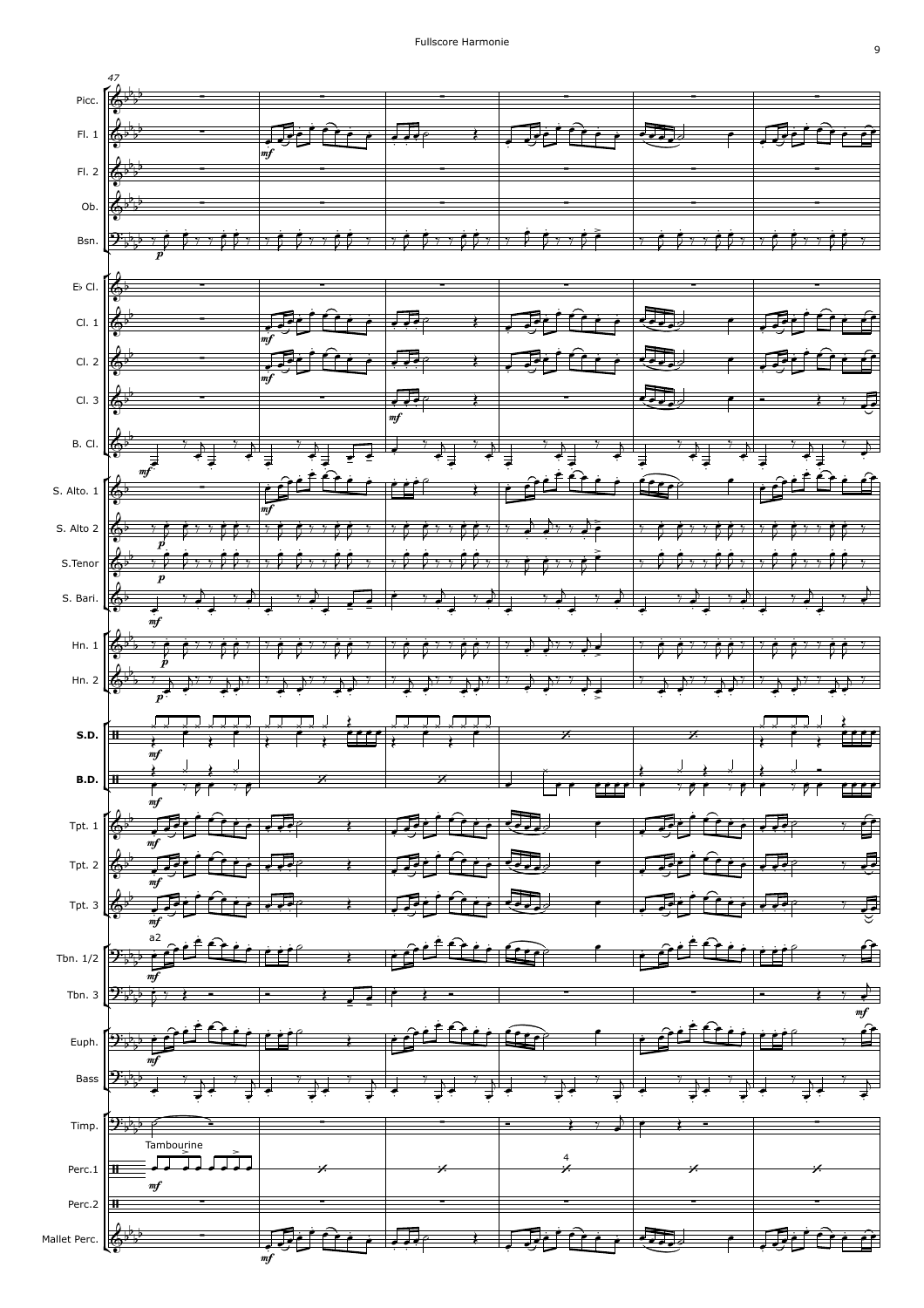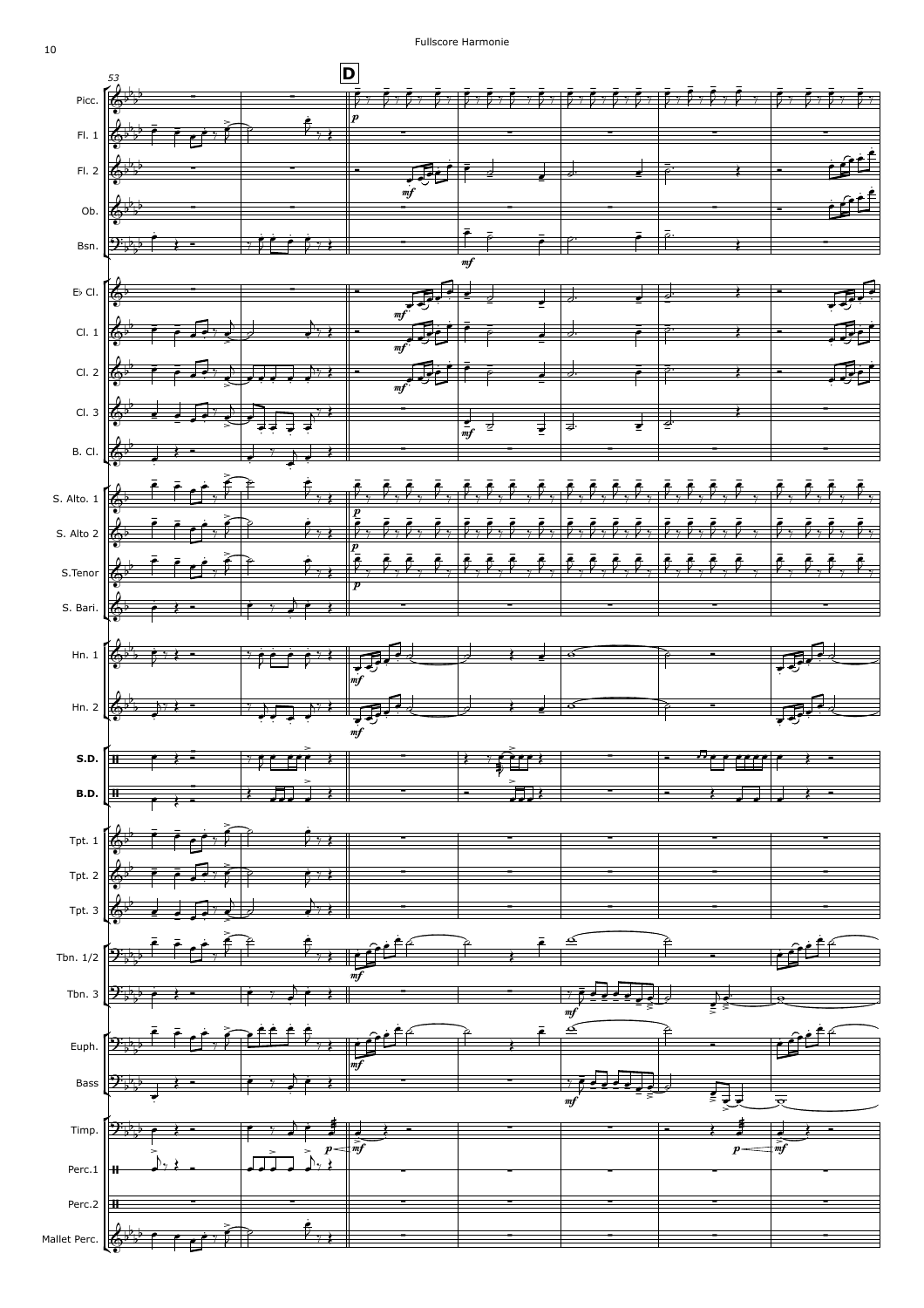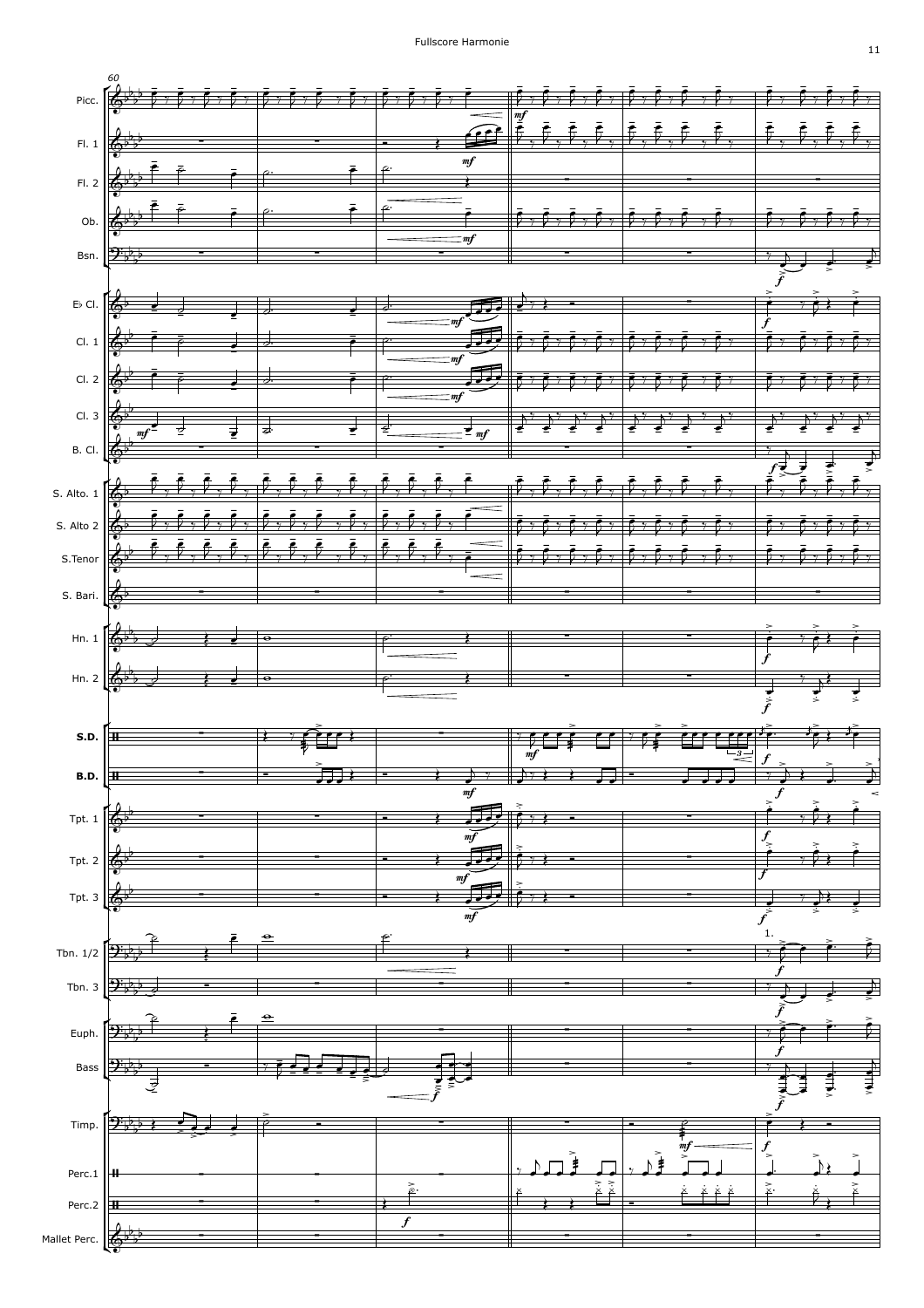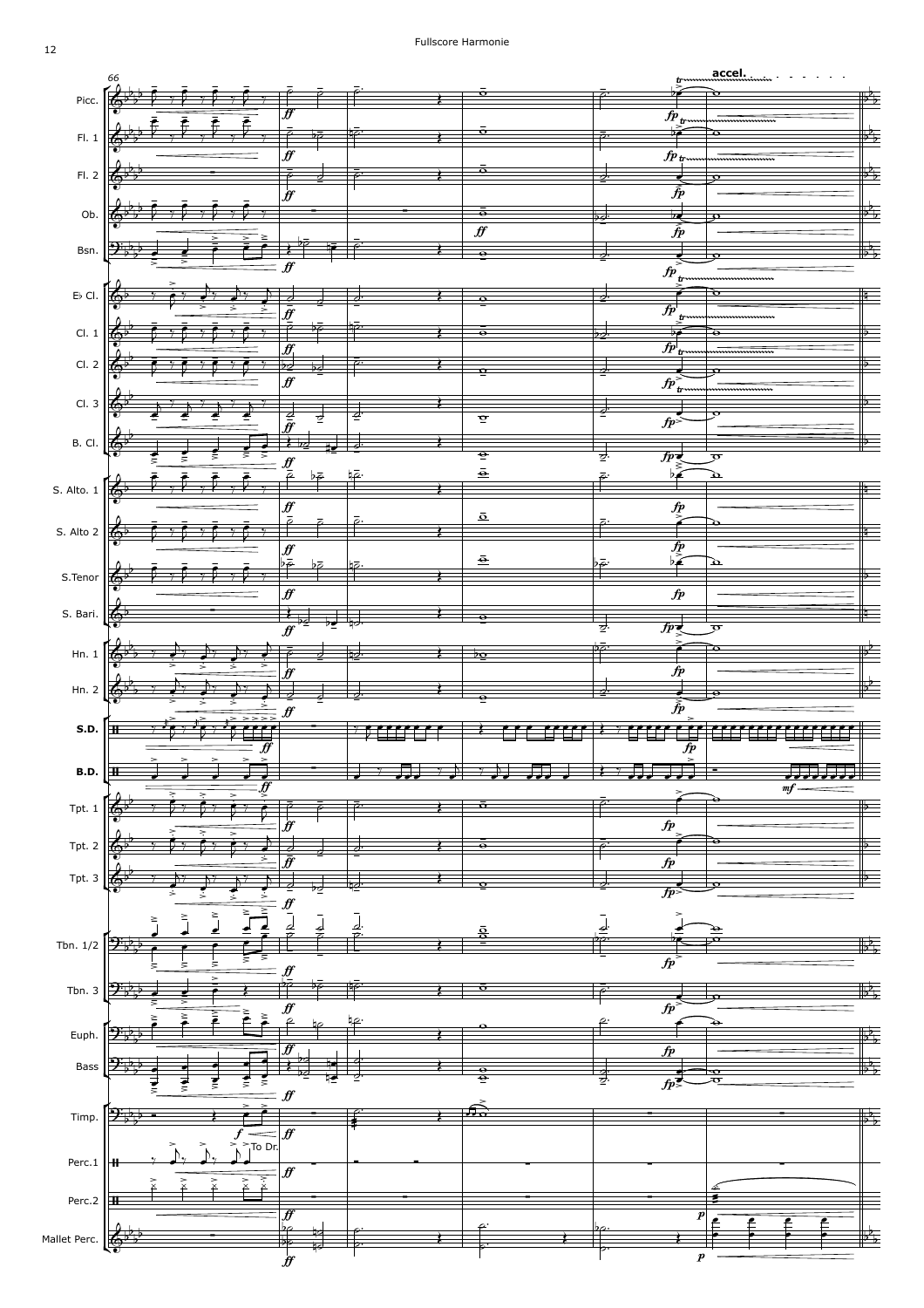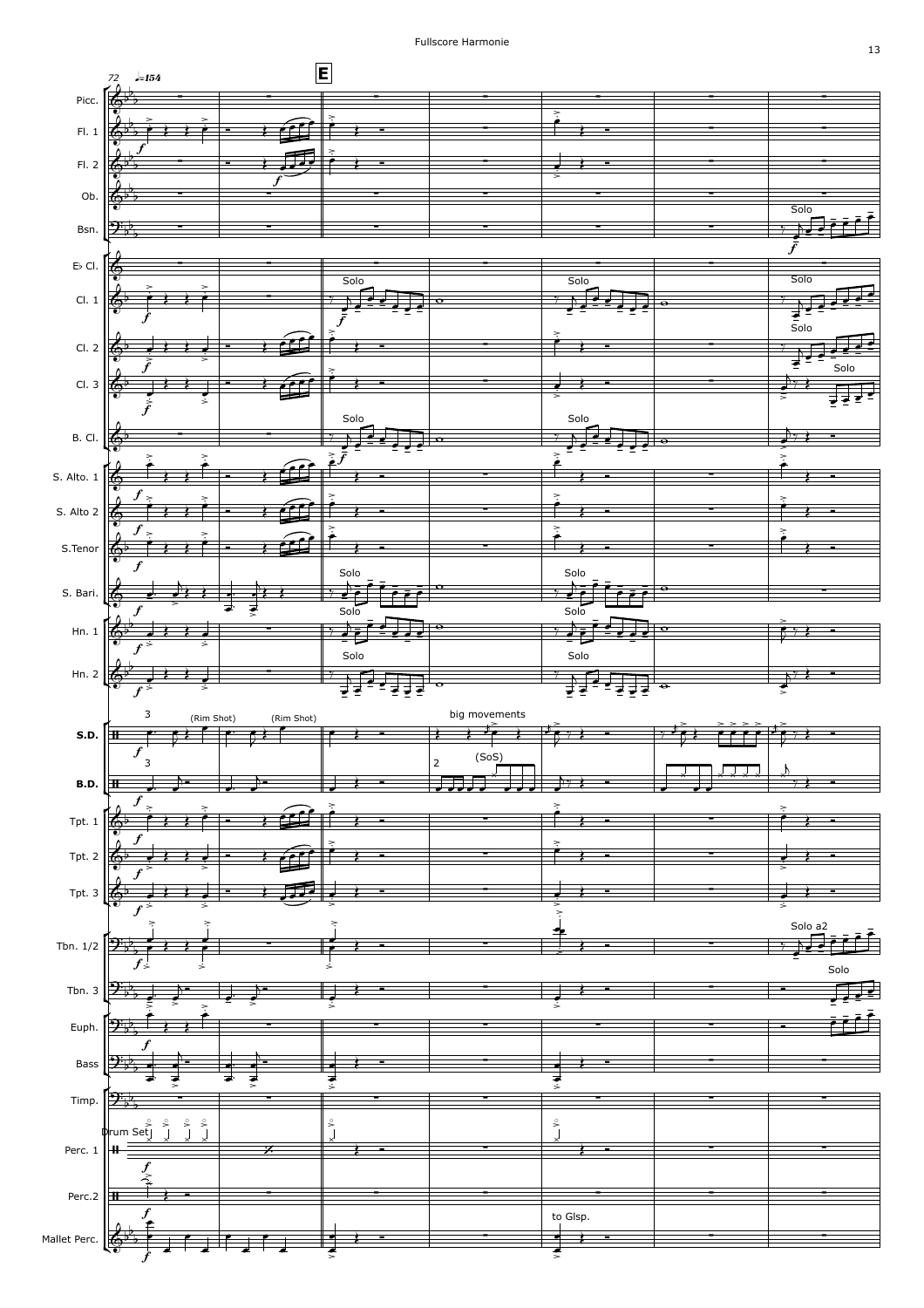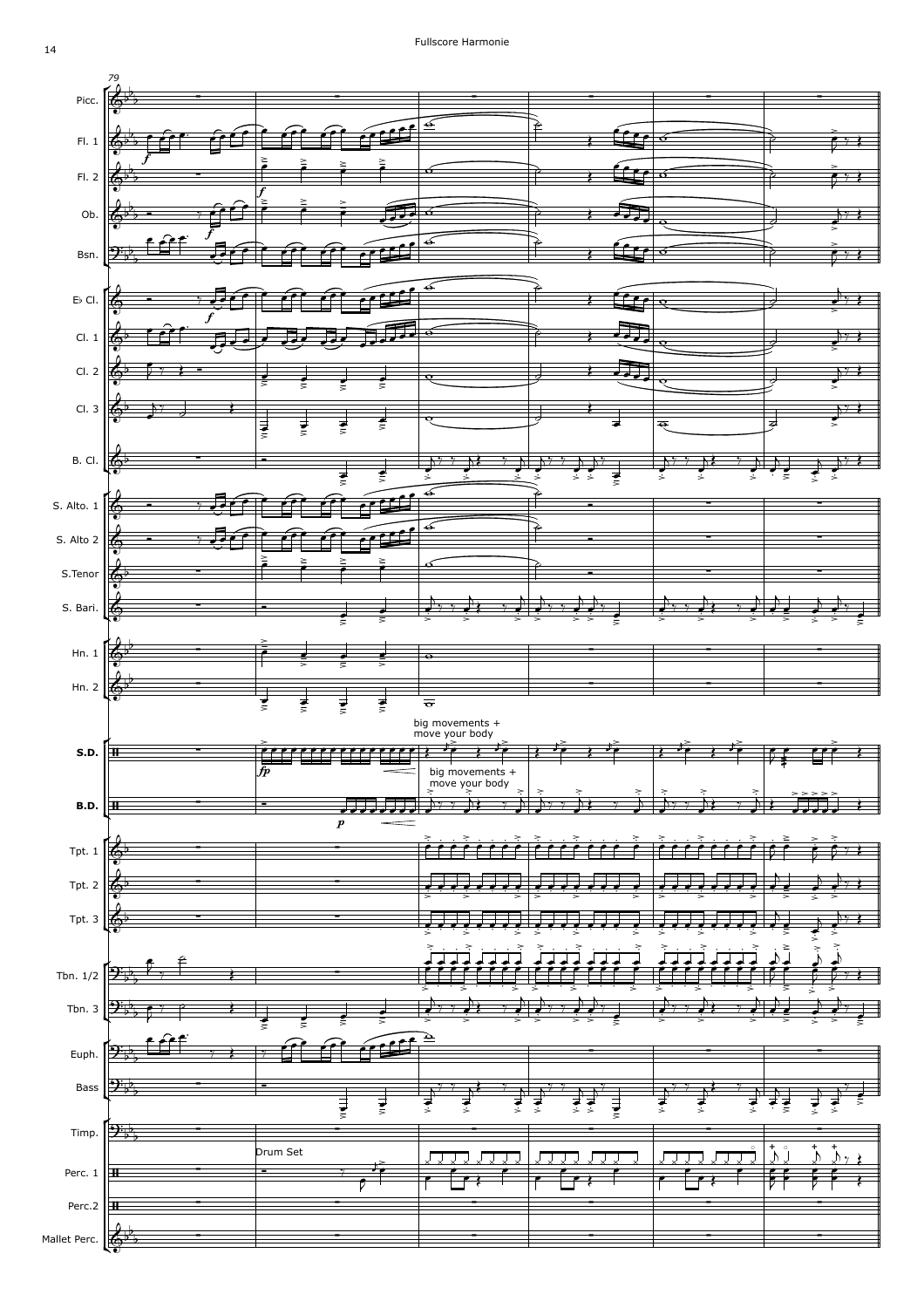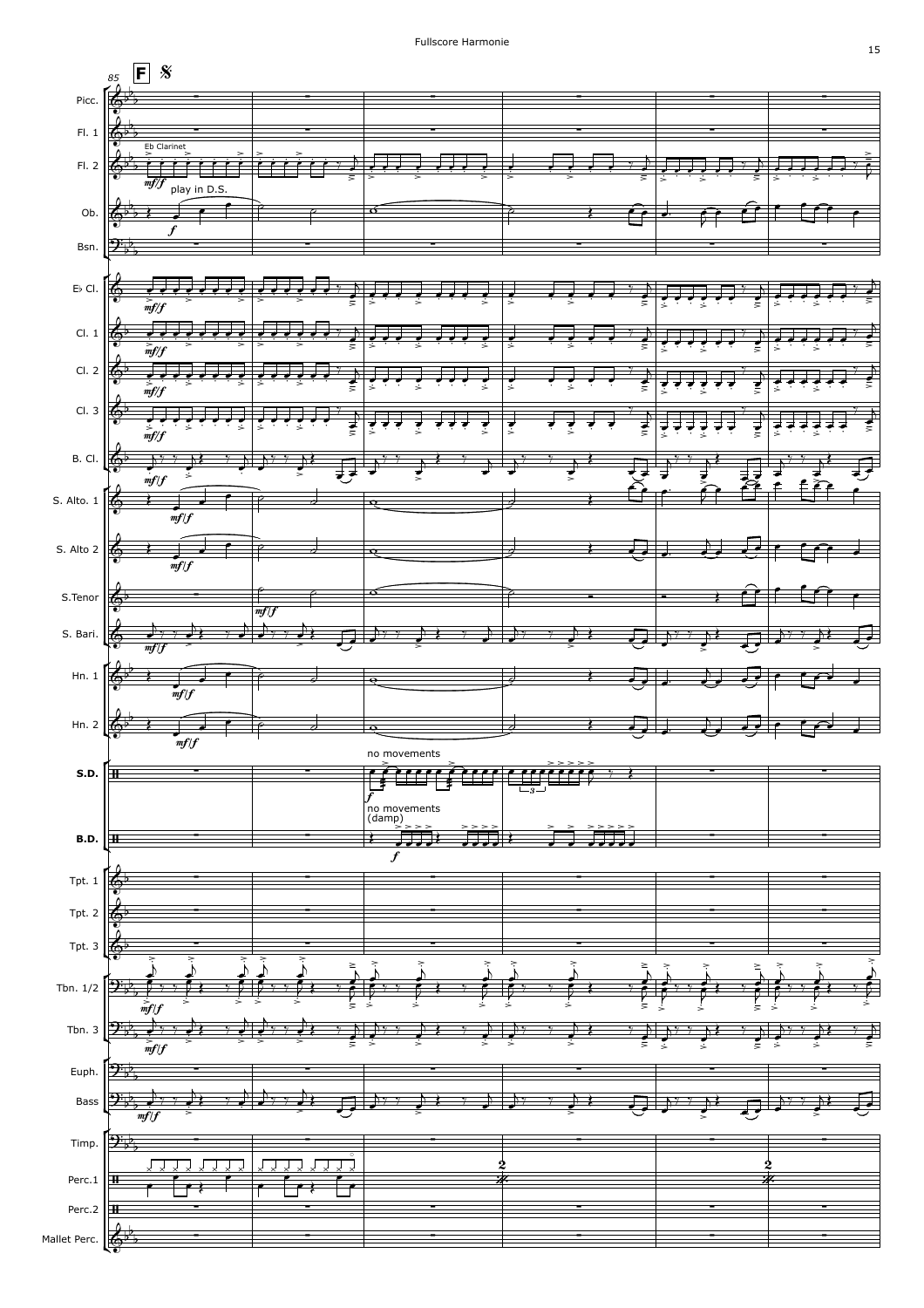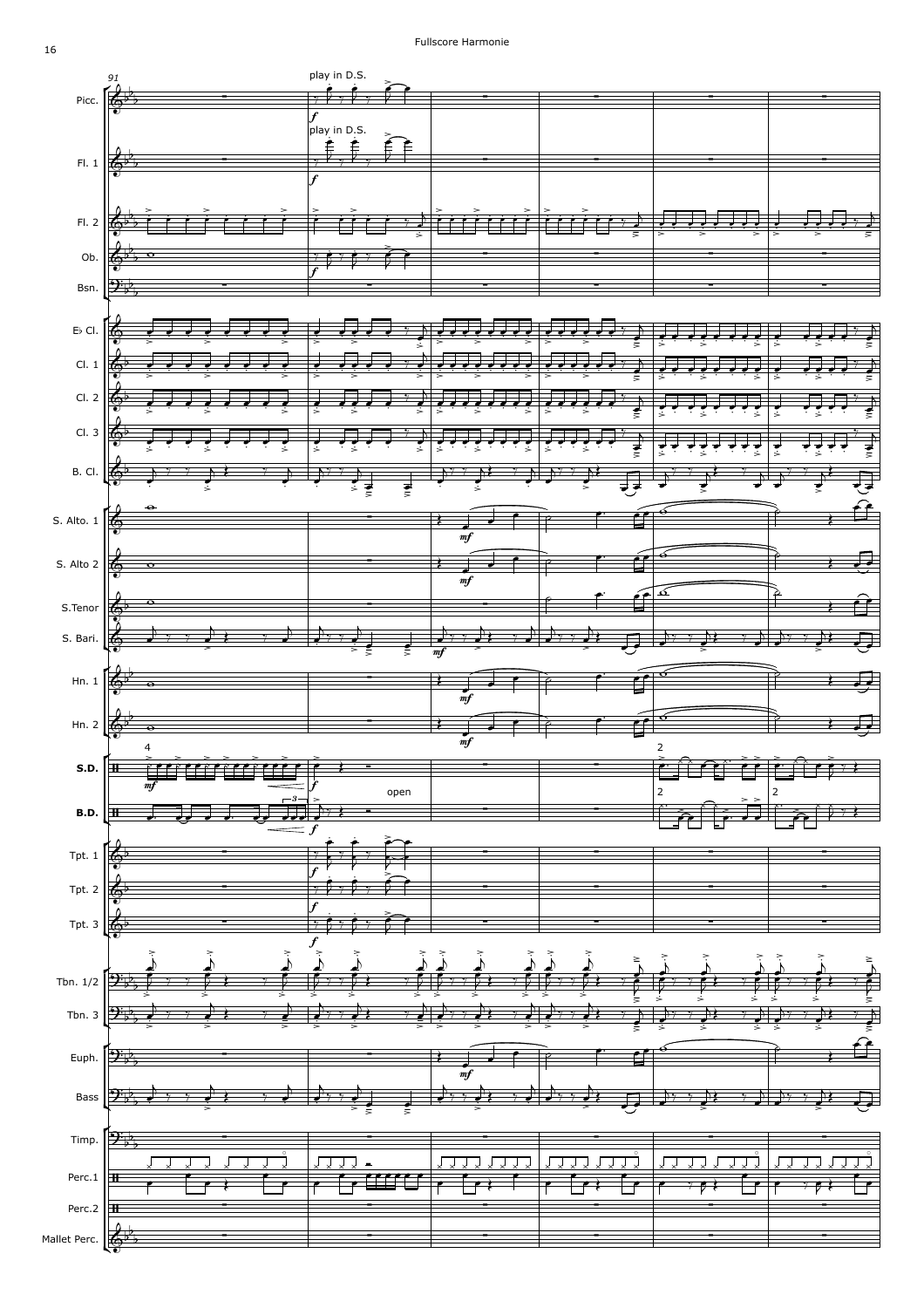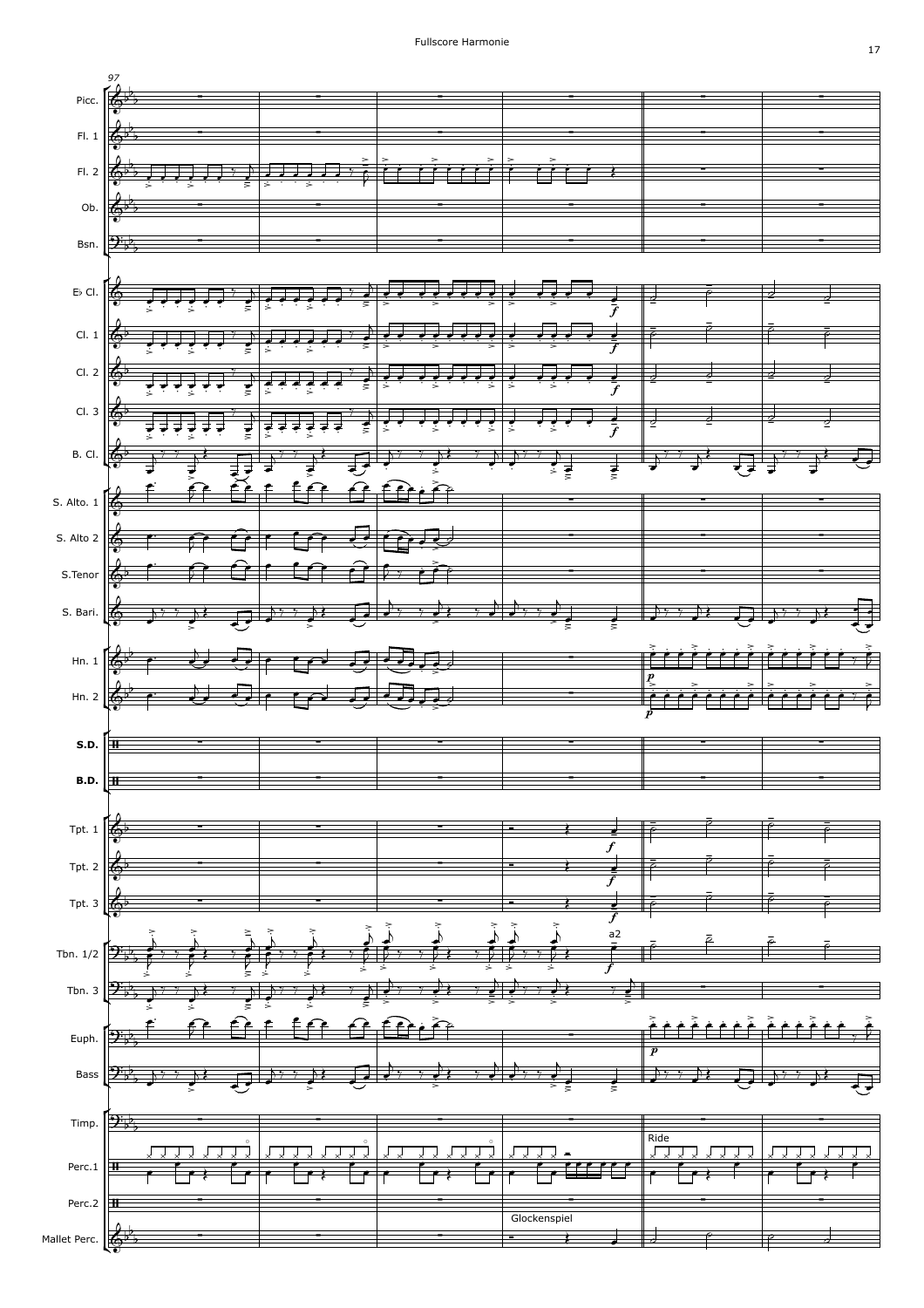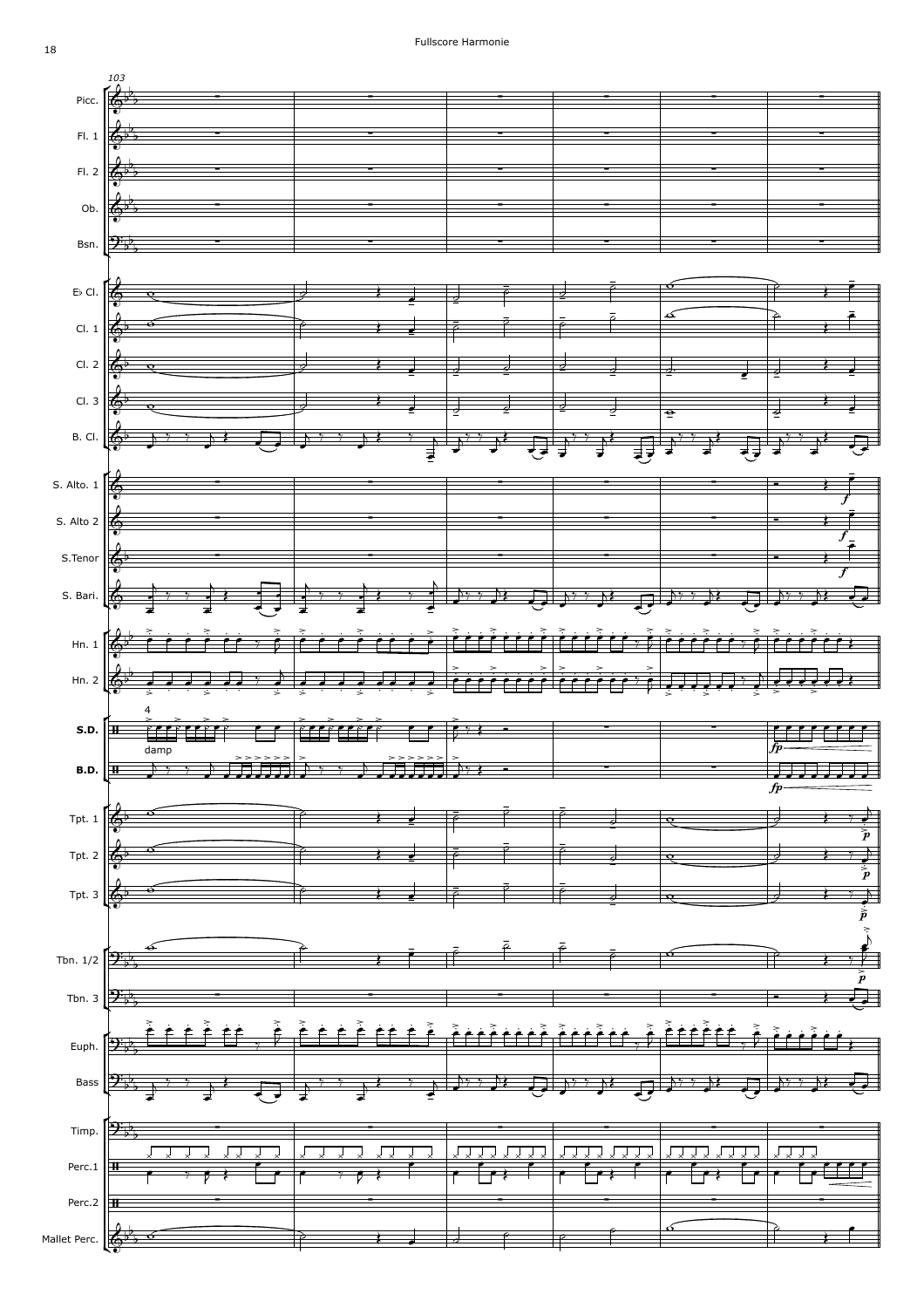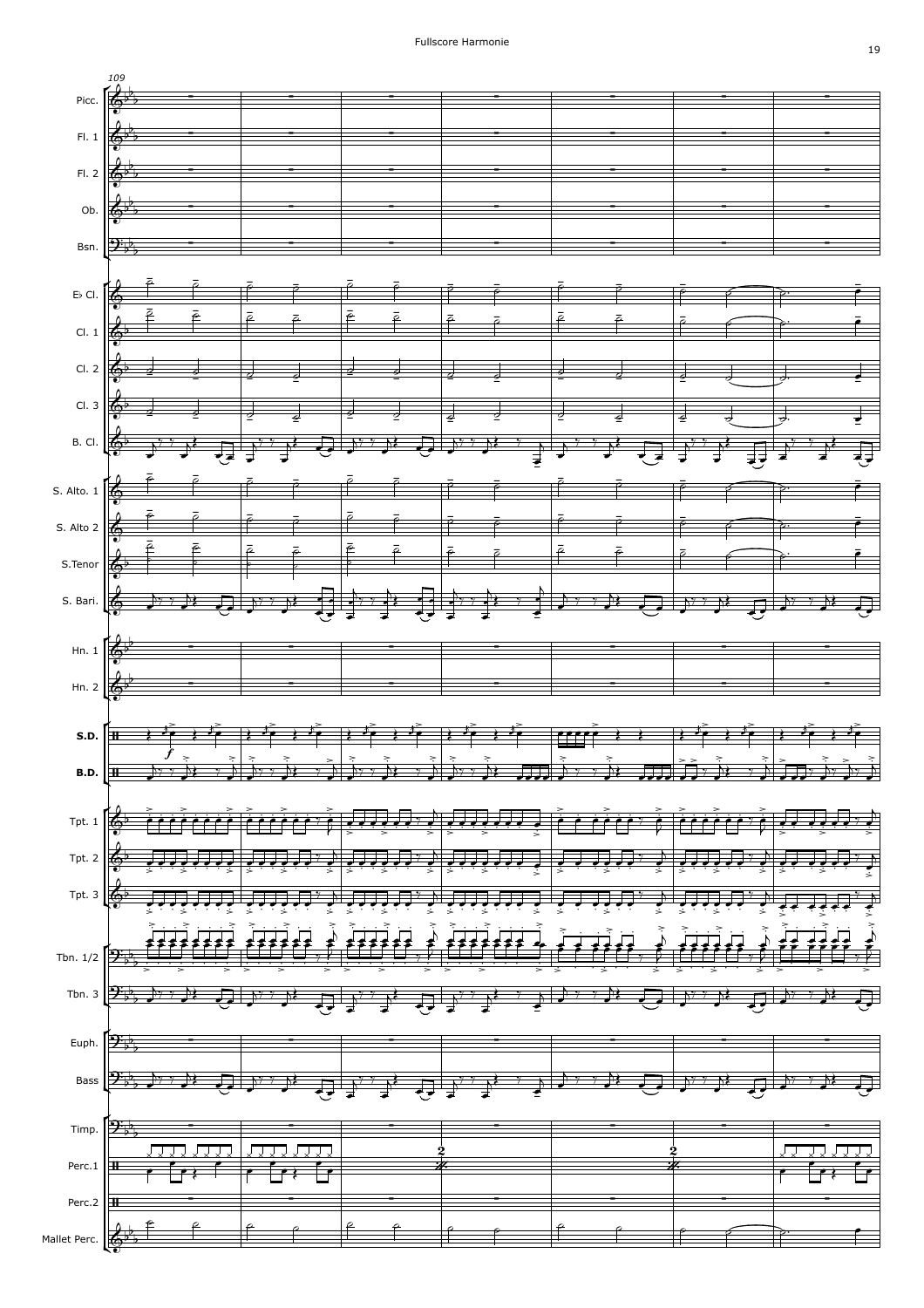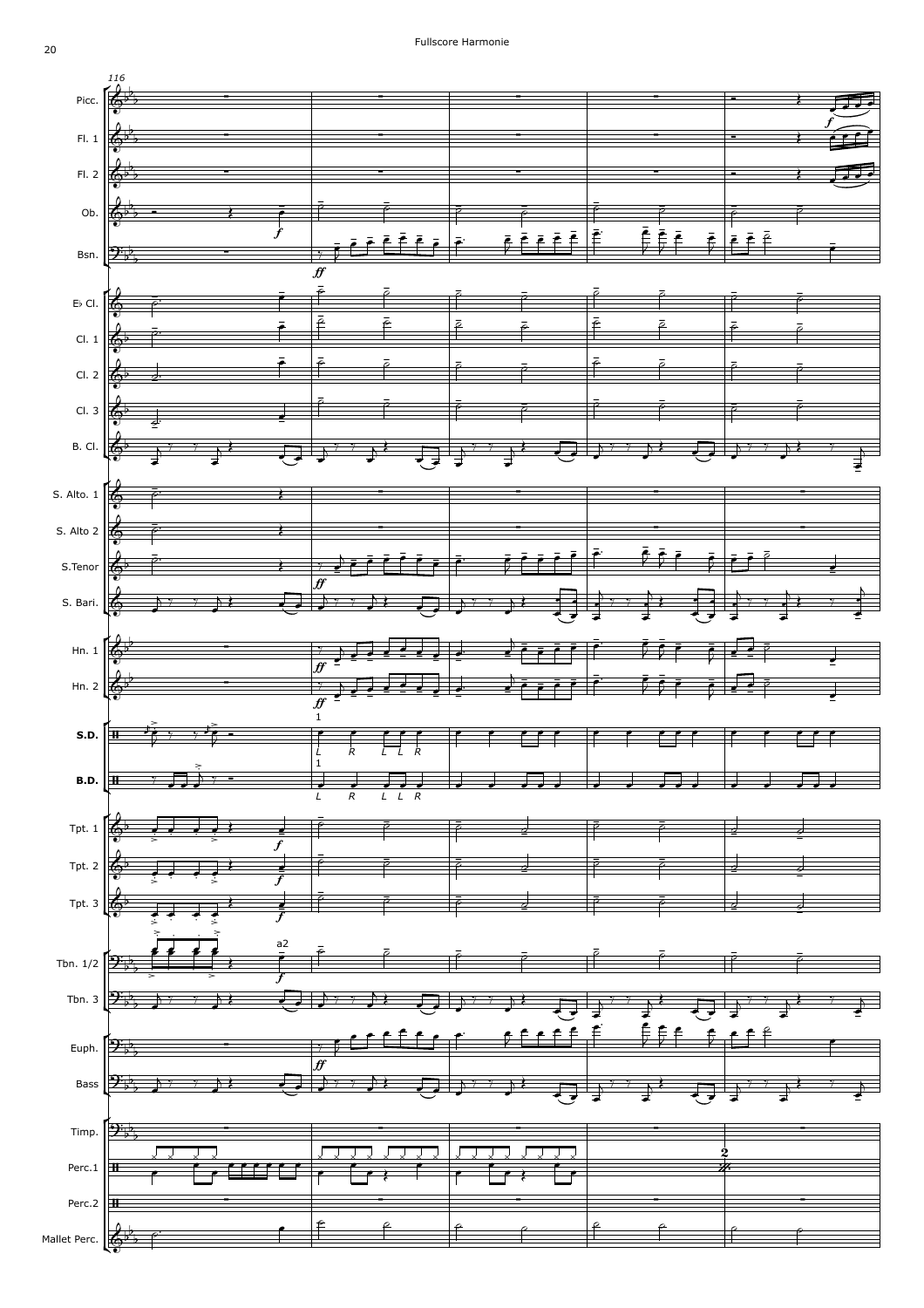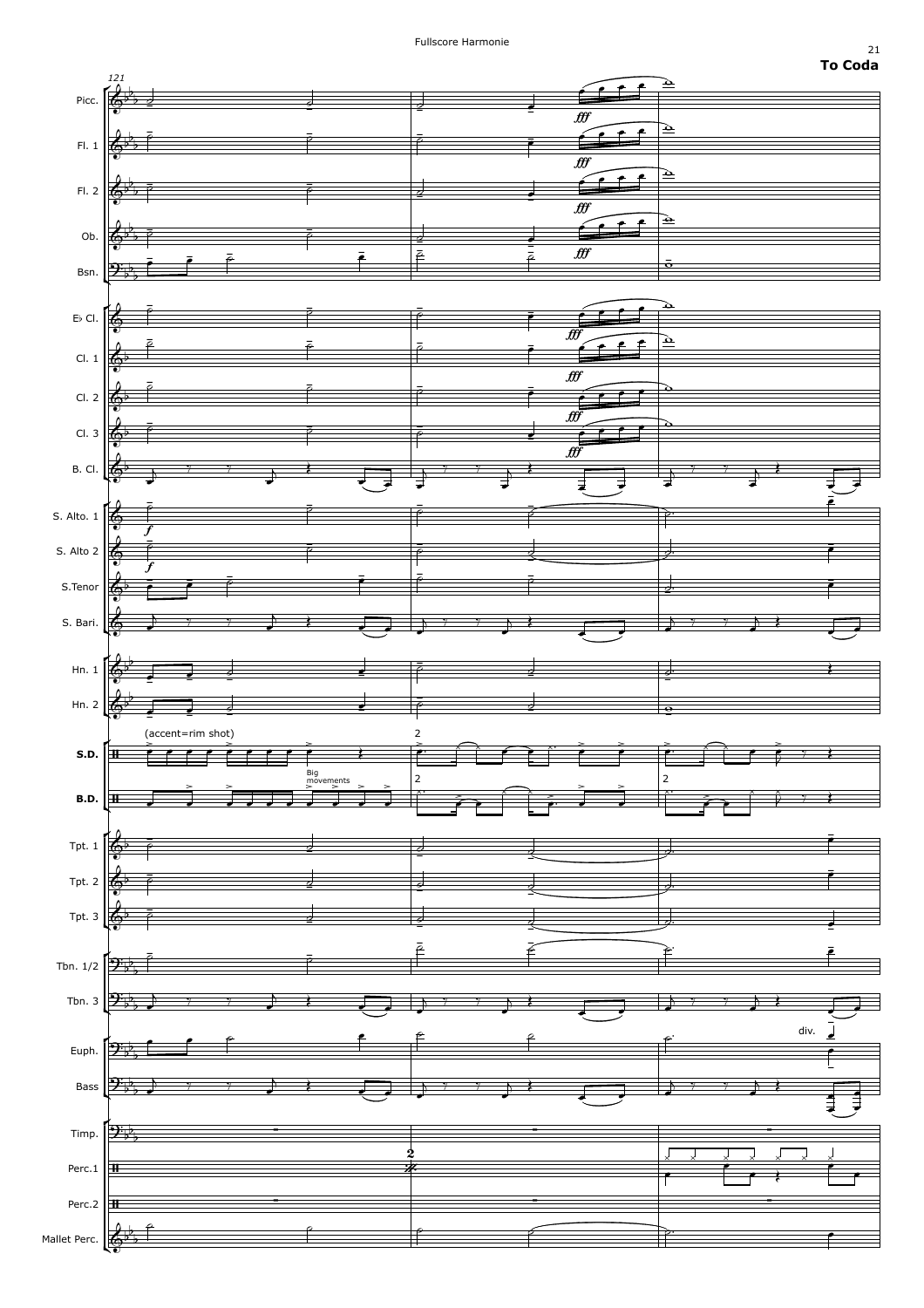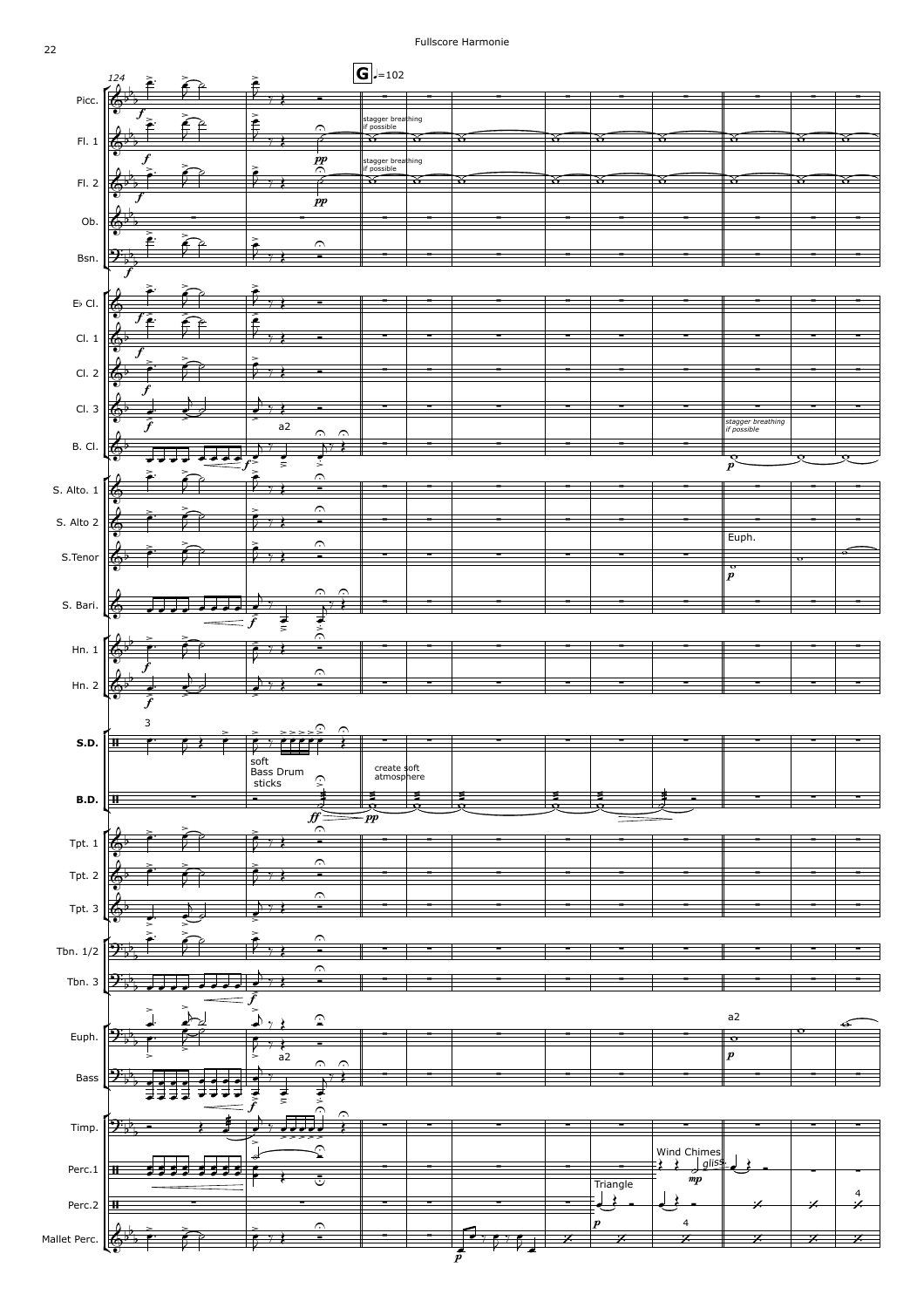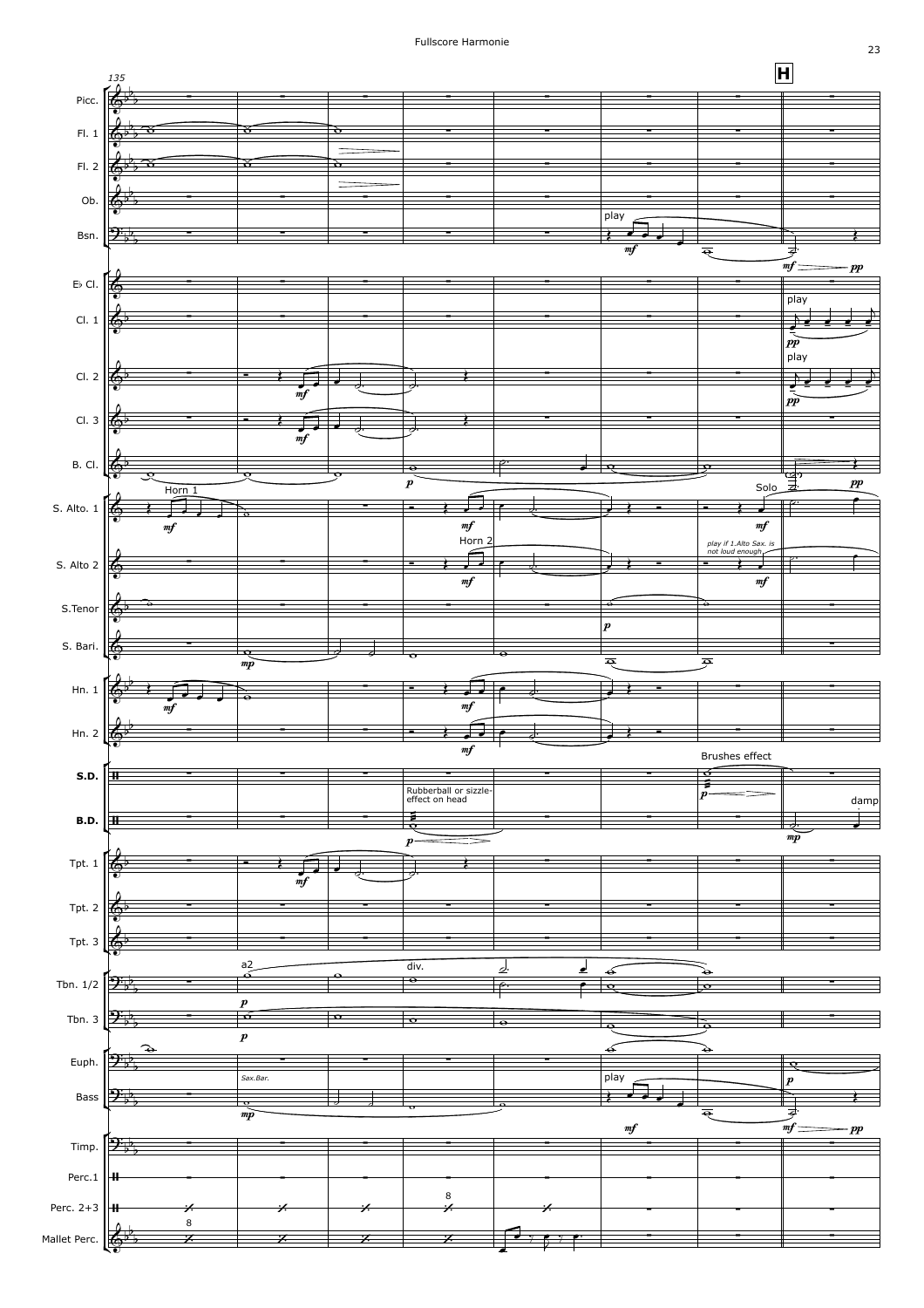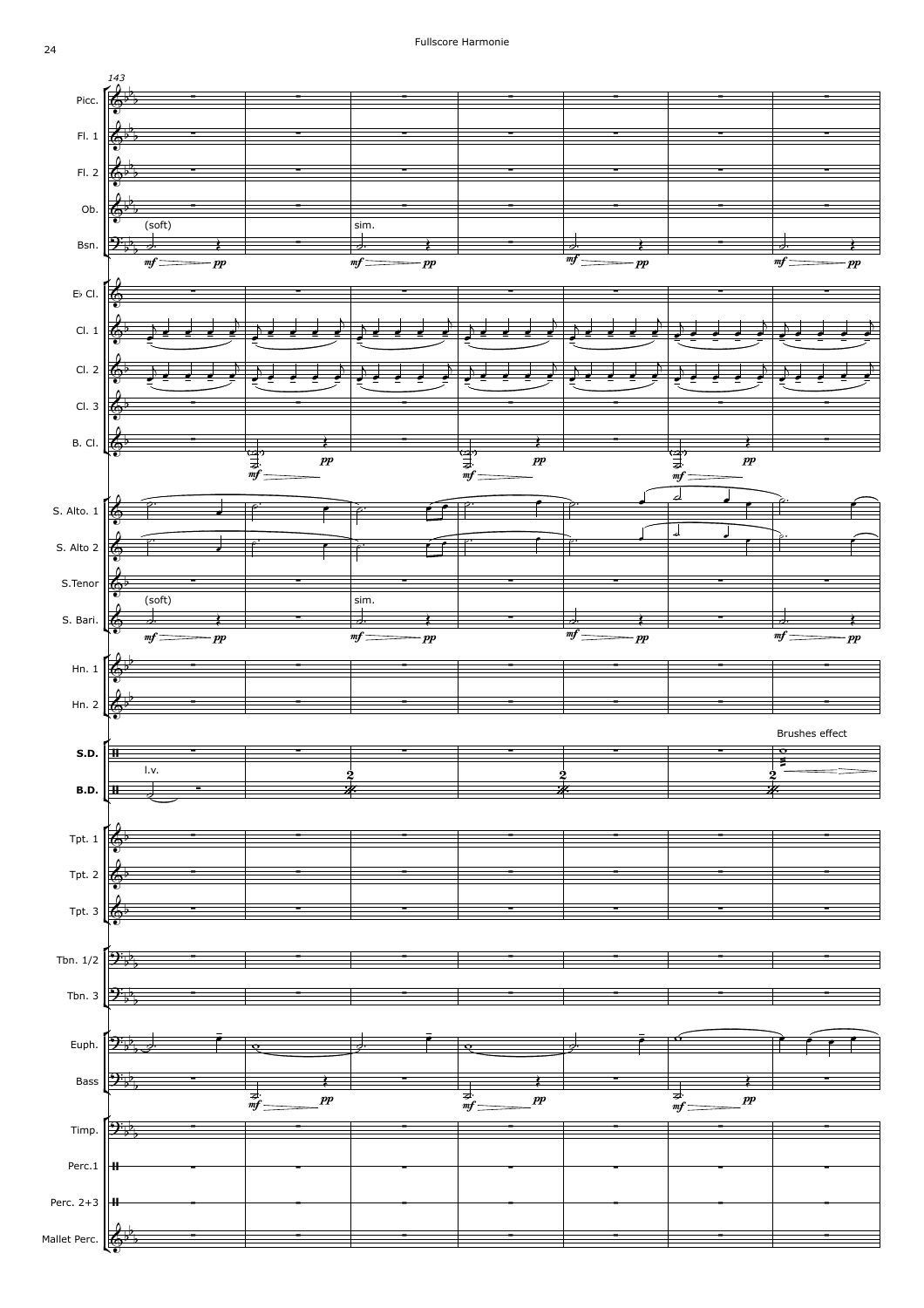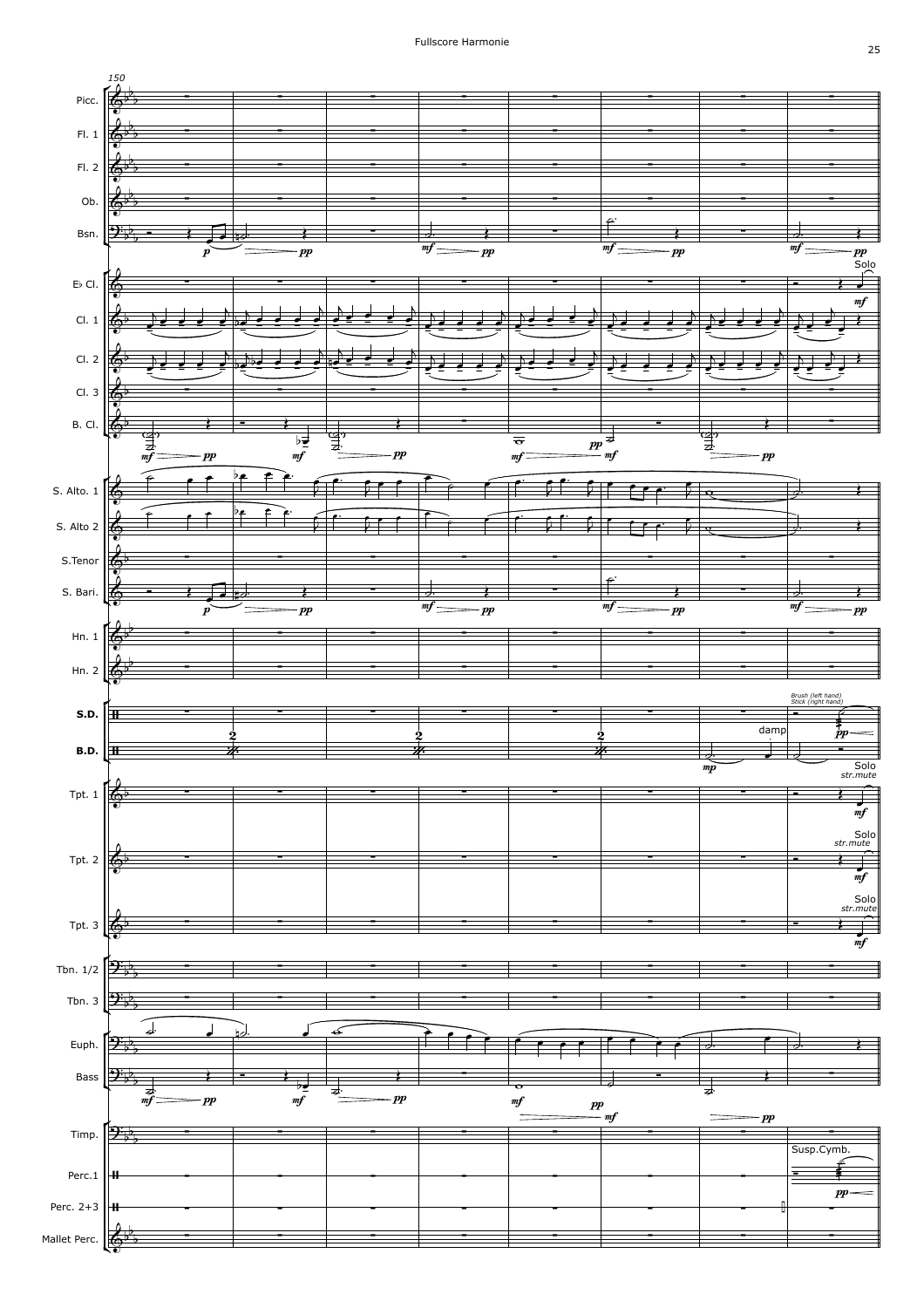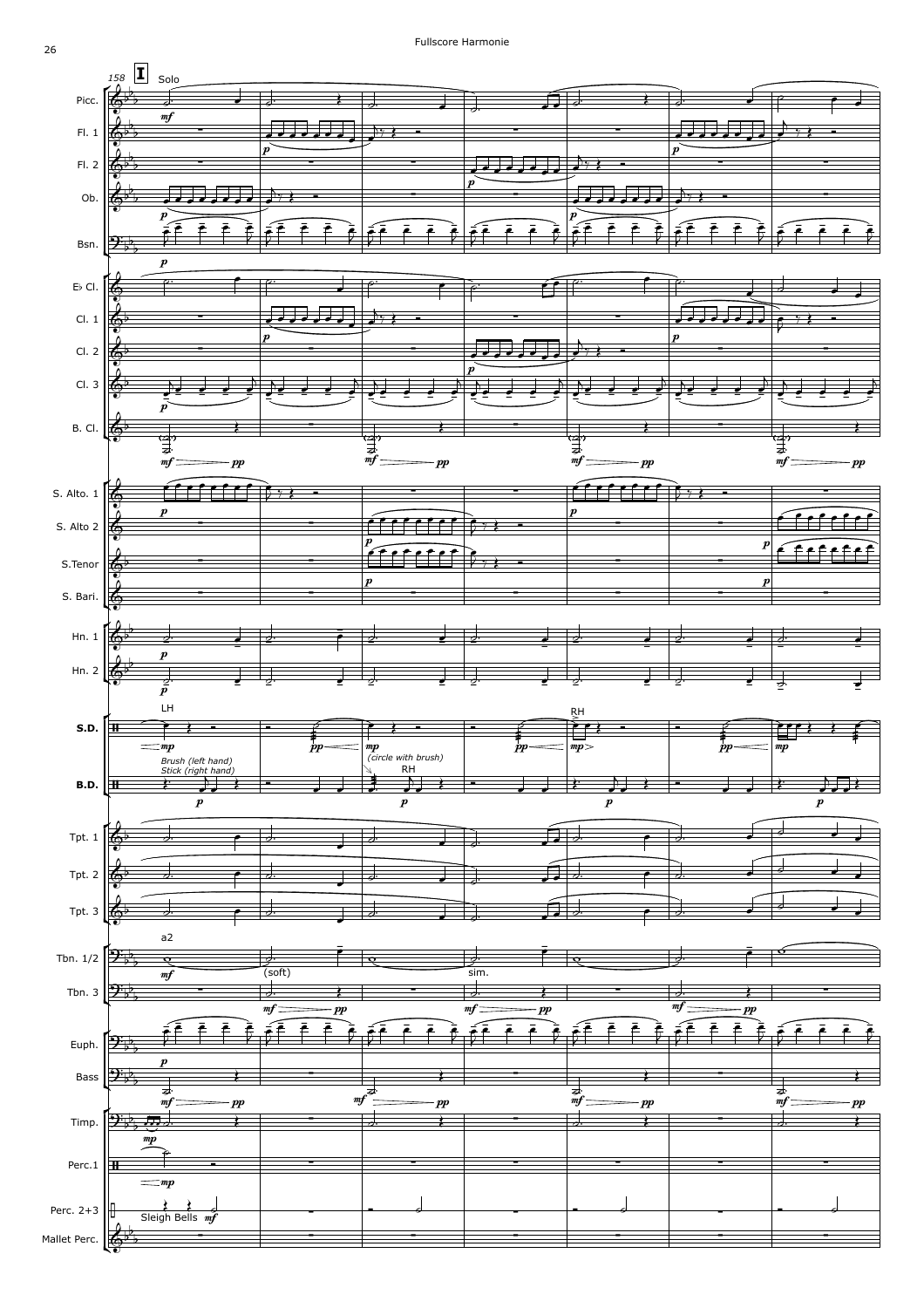Fullscore Harmonie <sup>26</sup>

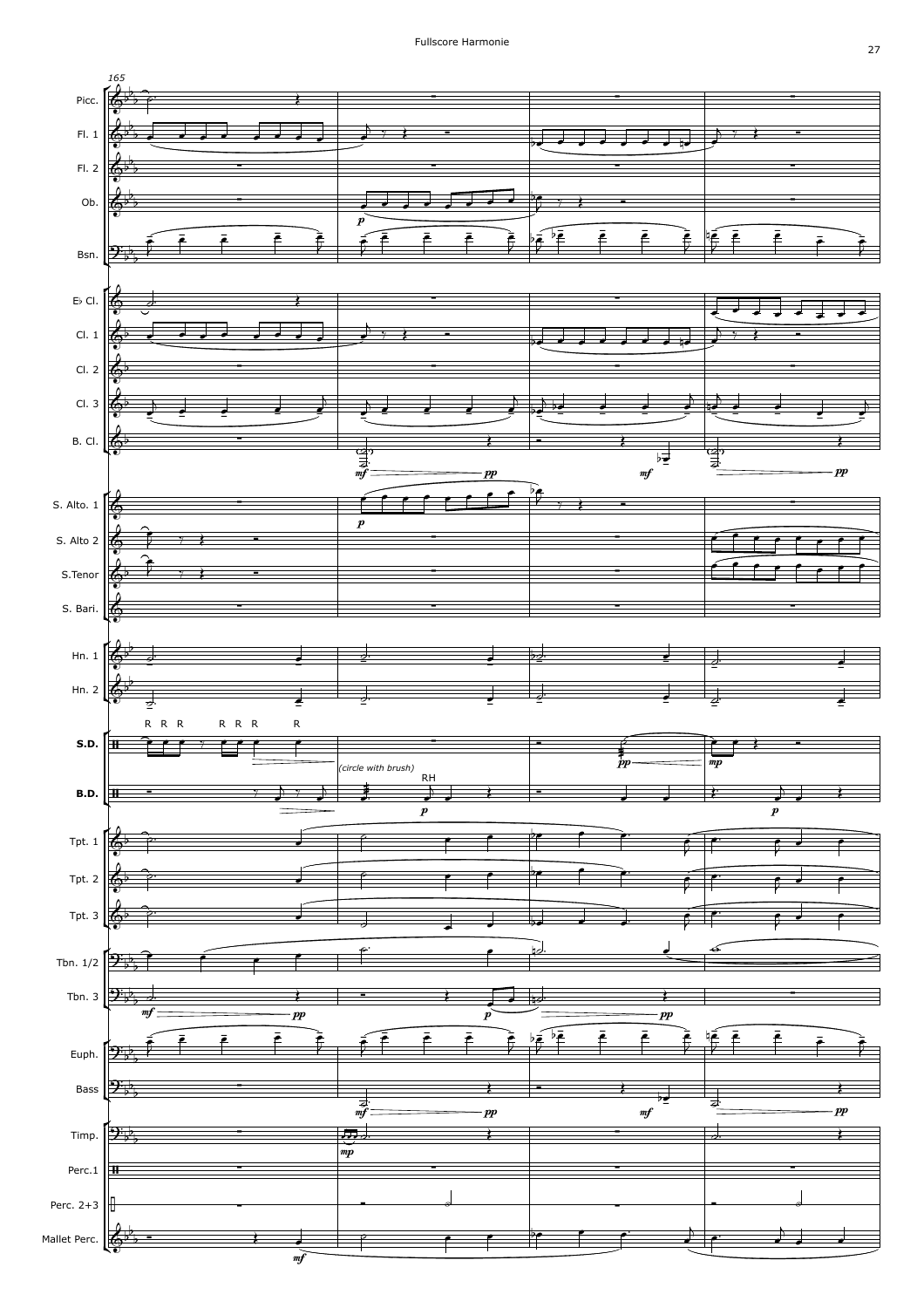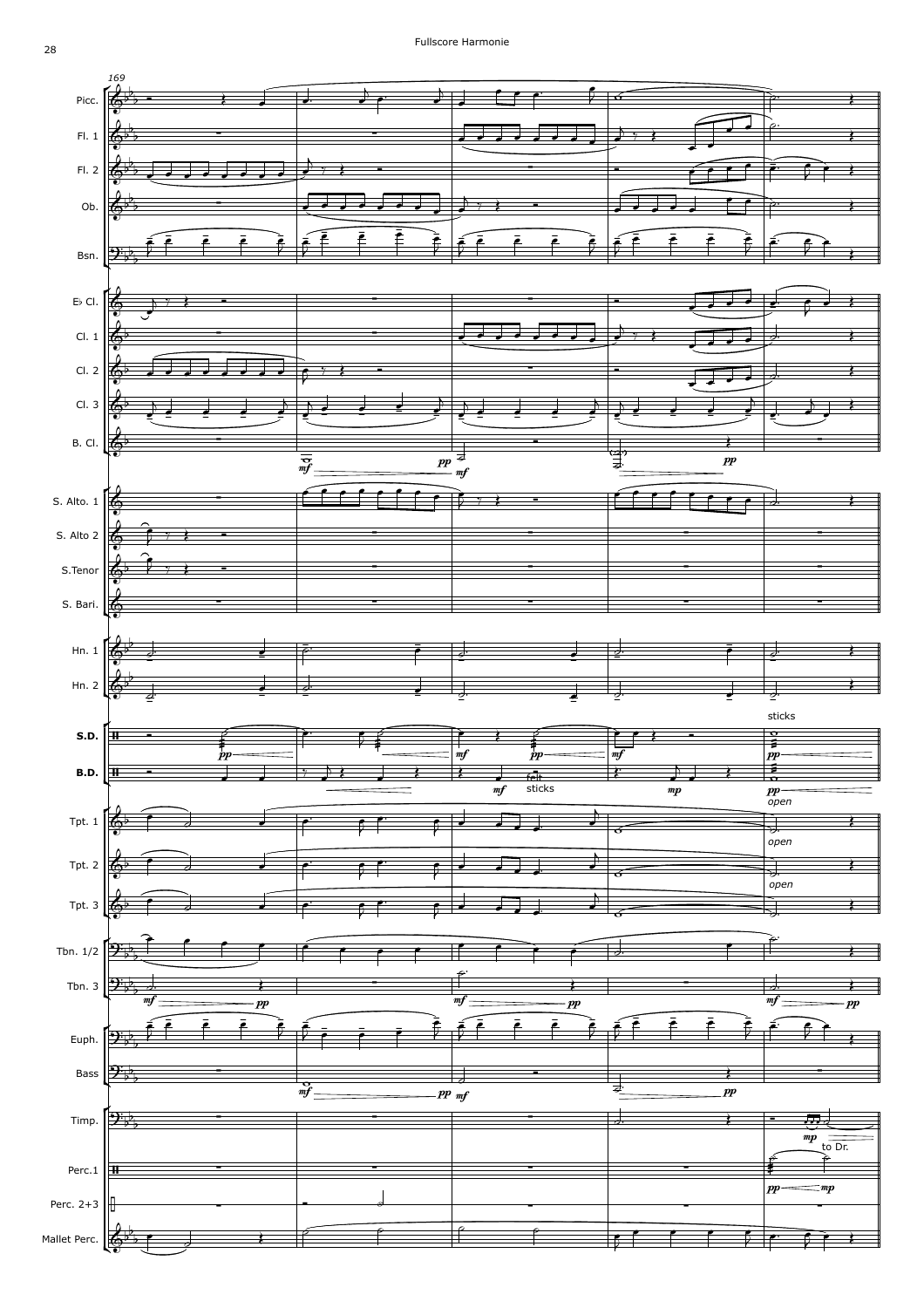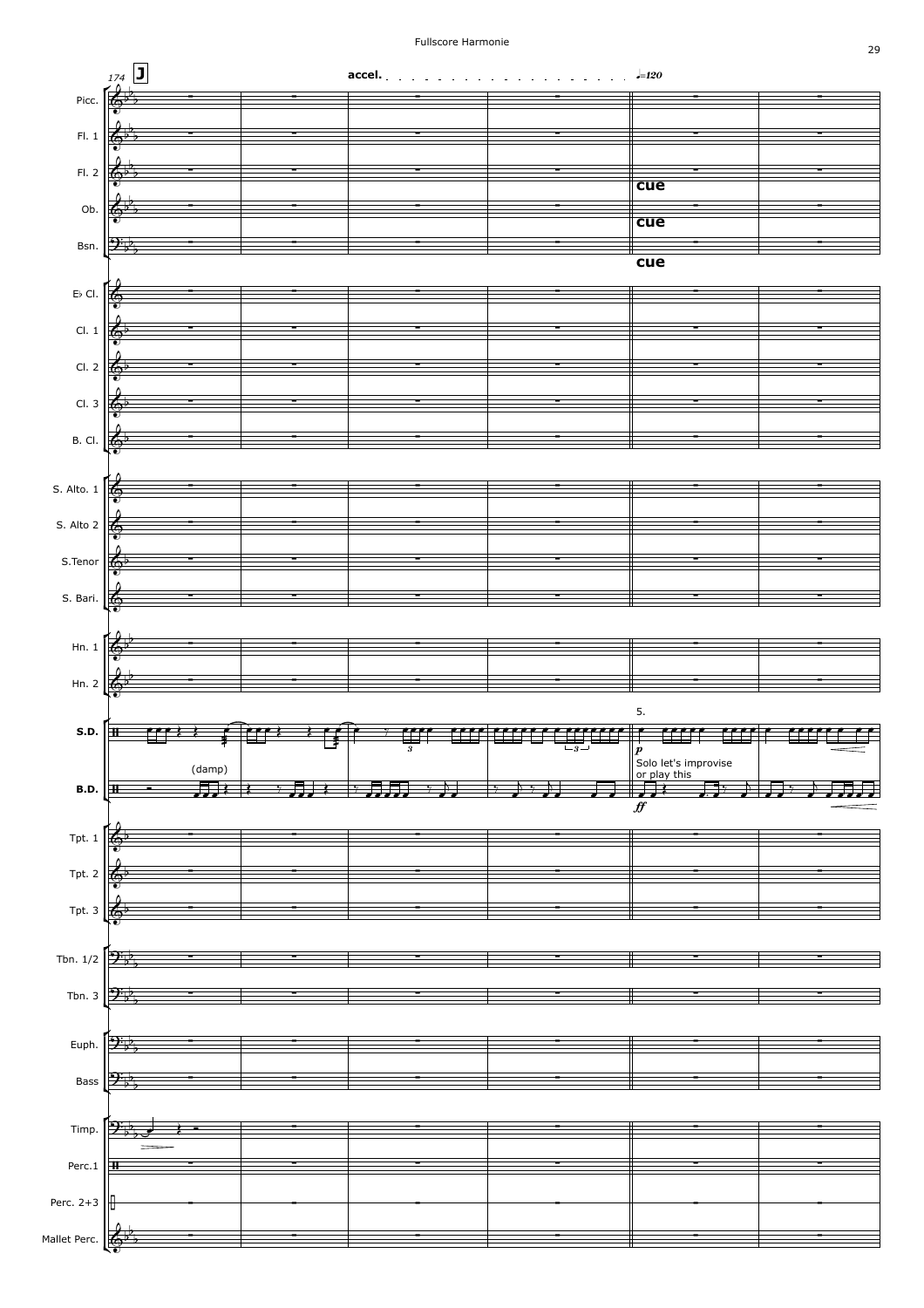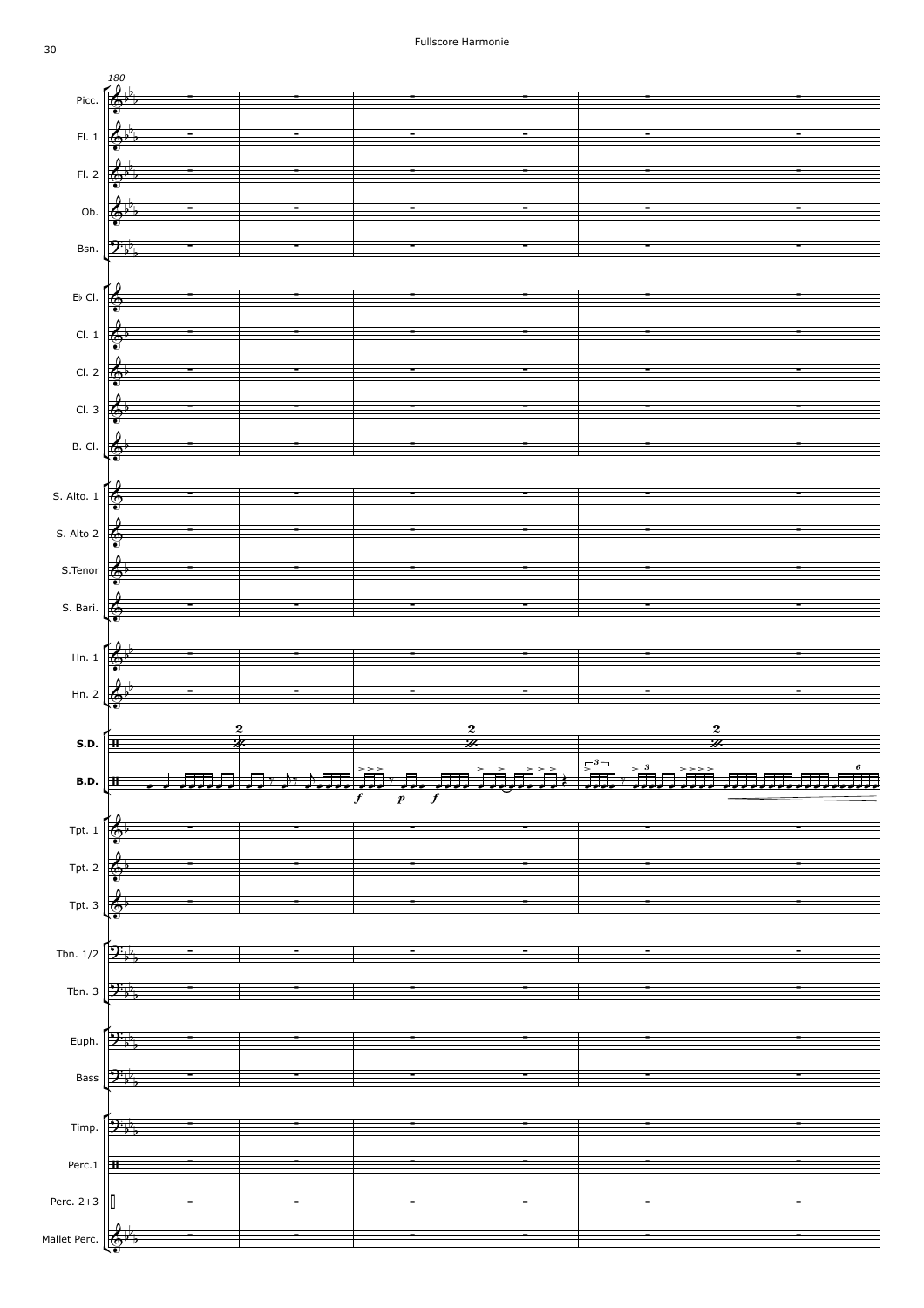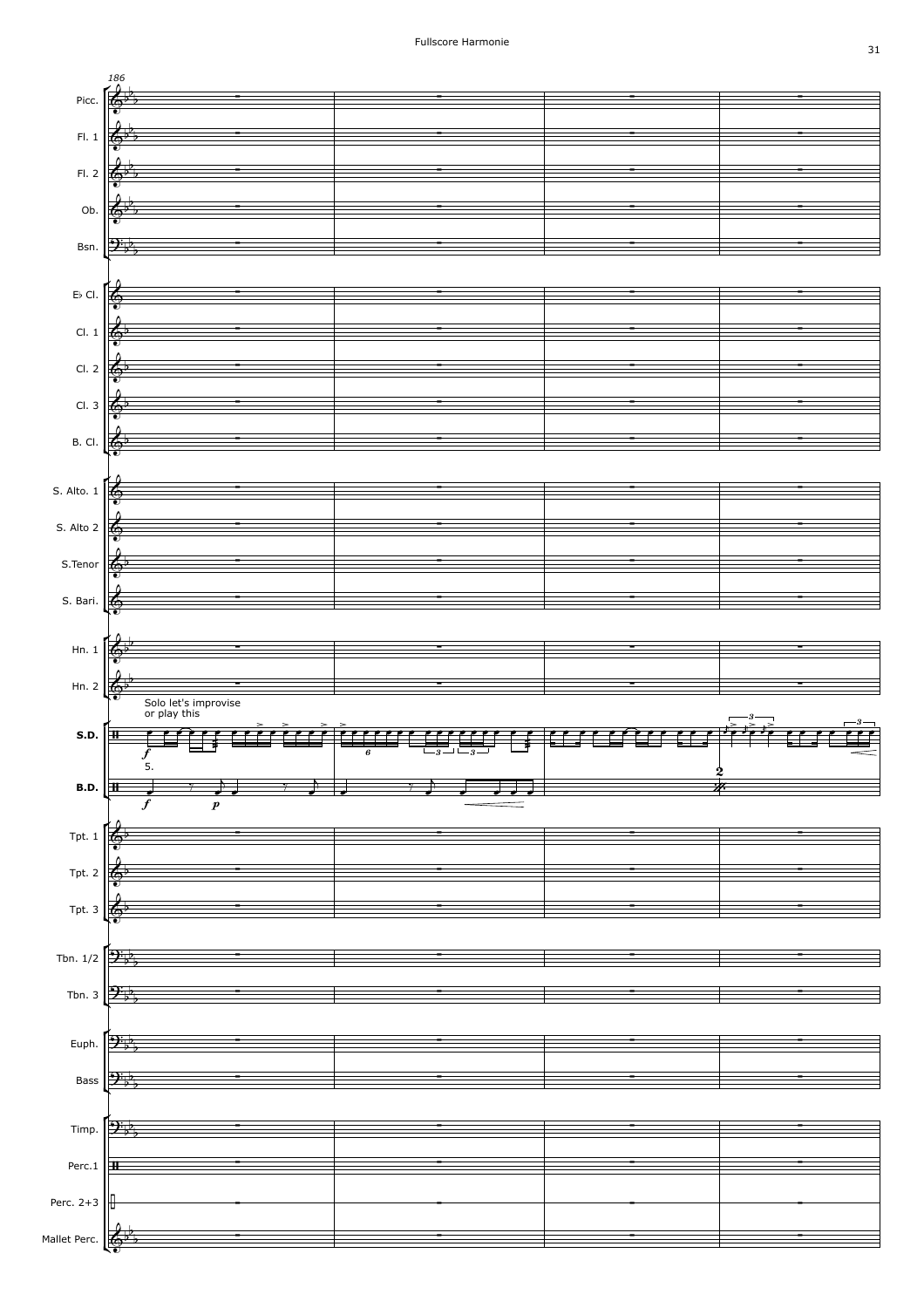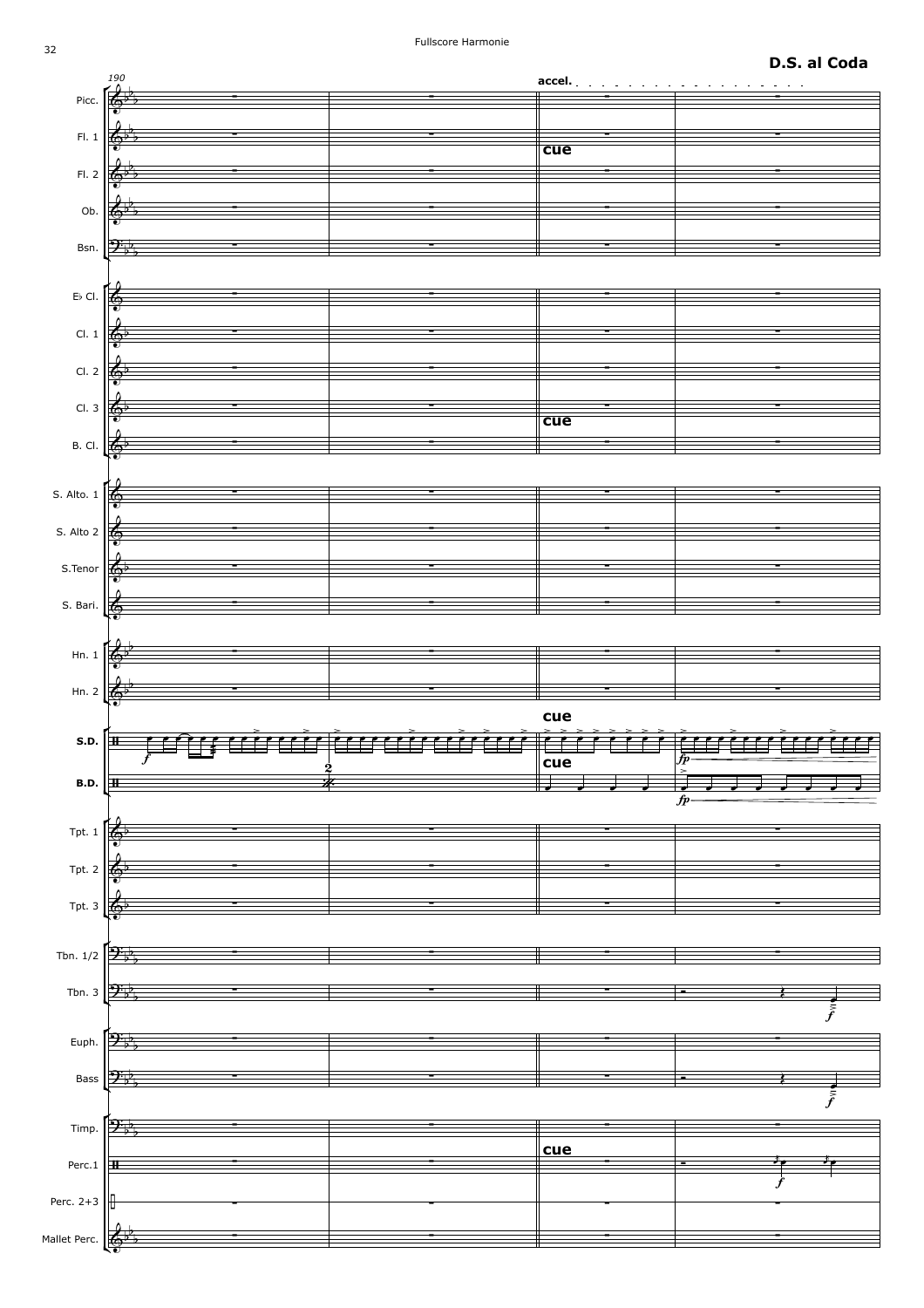